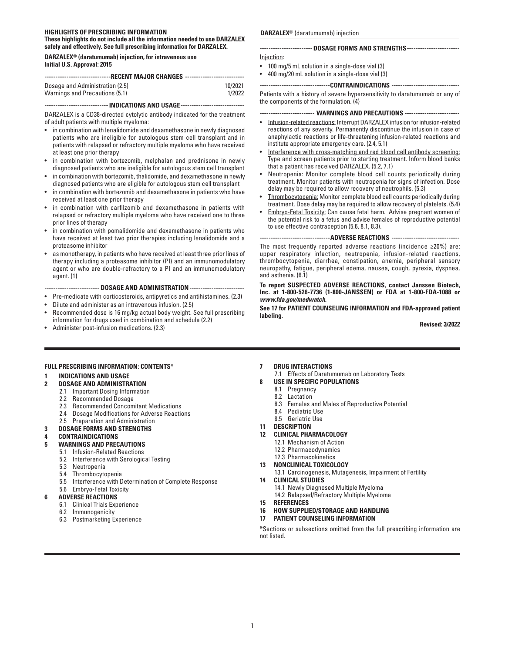## **HIGHLIGHTS OF PRESCRIBING INFORMATION**

**These highlights do not include all the information needed to use DARZALEX safely and effectively. See full prescribing information for DARZALEX.**

**DARZALEX® (daratumumab) injection, for intravenous use Initial U.S. Approval: 2015**

| ----------------------------RECENT MAJOR CHANGES ----------------------------- |         |  |  |
|--------------------------------------------------------------------------------|---------|--|--|
| Dosage and Administration (2.5)                                                | 10/2021 |  |  |
| Warnings and Precautions (5.1)                                                 | 1/2022  |  |  |

## **-----------------------------INDICATIONS AND USAGE-----------------------------**

DARZALEX is a CD38-directed cytolytic antibody indicated for the treatment of adult patients with multiple myeloma:

- in combination with lenalidomide and dexamethasone in newly diagnosed patients who are ineligible for autologous stem cell transplant and in patients with relapsed or refractory multiple myeloma who have received at least one prior therapy
- in combination with bortezomib, melphalan and prednisone in newly diagnosed patients who are ineligible for autologous stem cell transplant
- in combination with bortezomib, thalidomide, and dexamethasone in newly diagnosed patients who are eligible for autologous stem cell transplant
- in combination with bortezomib and dexamethasone in patients who have received at least one prior therapy
- in combination with carfilzomib and dexamethasone in patients with relapsed or refractory multiple myeloma who have received one to three prior lines of therapy
- in combination with pomalidomide and dexamethasone in patients who have received at least two prior therapies including lenalidomide and a proteasome inhibitor
- as monotherapy, in patients who have received at least three prior lines of therapy including a proteasome inhibitor (PI) and an immunomodulatory agent or who are double-refractory to a PI and an immunomodulatory agent. (1)

**------------------------- DOSAGE AND ADMINISTRATION-------------------------**

- Pre-medicate with corticosteroids, antipyretics and antihistamines. (2.3)
- Dilute and administer as an intravenous infusion. (2.5)
- Recommended dose is 16 mg/kg actual body weight. See full prescribing information for drugs used in combination and schedule (2.2)
- Administer post-infusion medications. (2.3)

#### **DARZALEX**® (daratumumab) injection

| ----------------------- DOSAGE FORMS AND STRENGTHS------------------------ |
|----------------------------------------------------------------------------|
| Injection:                                                                 |

- 100 mg/5 mL solution in a single-dose vial (3)
- 400 mg/20 mL solution in a single-dose vial (3)

**--------------------------------CONTRAINDICATIONS -------------------------------**

Patients with a history of severe hypersensitivity to daratumumab or any of the components of the formulation. (4)

**------------------------- WARNINGS AND PRECAUTIONS -------------------------**

- Infusion-related reactions: Interrupt DARZALEX infusion for infusion-related reactions of any severity. Permanently discontinue the infusion in case of anaphylactic reactions or life-threatening infusion-related reactions and institute appropriate emergency care. (2.4, 5.1)
- Interference with cross-matching and red blood cell antibody screening: Type and screen patients prior to starting treatment. Inform blood banks that a patient has received DARZALEX. (5.2, 7.1)
- Neutropenia: Monitor complete blood cell counts periodically during treatment. Monitor patients with neutropenia for signs of infection. Dose delay may be required to allow recovery of neutrophils. (5.3)
- Thrombocytopenia: Monitor complete blood cell counts periodically during treatment. Dose delay may be required to allow recovery of platelets. (5.4)
- Embryo-Fetal Toxicity: Can cause fetal harm. Advise pregnant women of the potential risk to a fetus and advise females of reproductive potential to use effective contraception (5.6, 8.1, 8.3).

#### **--------------------------------ADVERSE REACTIONS -------------------------------**

The most frequently reported adverse reactions (incidence ≥20%) are: upper respiratory infection, neutropenia, infusion-related reactions, thrombocytopenia, diarrhea, constipation, anemia, peripheral sensory neuropathy, fatigue, peripheral edema, nausea, cough, pyrexia, dyspnea, and asthenia. (6.1)

**To report SUSPECTED ADVERSE REACTIONS, contact Janssen Biotech, Inc. at 1-800-526-7736 (1-800-JANSSEN) or FDA at 1-800-FDA-1088 or**  *www.fda.gov/medwatch***.**

**See 17 for PATIENT COUNSELING INFORMATION and FDA-approved patient labeling.**

**Revised: 3/2022**

## **FULL PRESCRIBING INFORMATION: CONTENTS\***

#### **1 INDICATIONS AND USAGE**

#### **2 DOSAGE AND ADMINISTRATION**

- 2.1 Important Dosing Information
- 2.2 Recommended Dosage
- 2.3 Recommended Concomitant Medications
- 2.4 Dosage Modifications for Adverse Reactions
- 2.5 Preparation and Administration

## **3 DOSAGE FORMS AND STRENGTHS**

**4 CONTRAINDICATIONS**

# **WARNINGS AND PRECAUTIONS**<br>5.1 Infusion-Related Reactions

- 5.1 Infusion-Related Reactions
- 5.2 Interference with Serological Testing
- 5.4 Thrombocytopenia
- 5.5 Interference with Determination of Complete Response

#### 5.6 Embryo-Fetal Toxicity **6 ADVERSE REACTIONS**

- 
- 6.1 Clinical Trials Experience 6.2 Immunogenicity
- 

## 6.3 Postmarketing Experience

- **7 DRUG INTERACTIONS**
- 7.1 Effects of Daratumumab on Laboratory Tests
- **8 USE IN SPECIFIC POPULATIONS**
	- 8.1 Pregnancy
	- 8.2 Lactation
	- 8.3 Females and Males of Reproductive Potential<br>8.4 Pediatric Use
	- 8.4 Pediatric Use
	- 8.5 Geriatric Use
- **11 DESCRIPTION**
- **12 CLINICAL PHARMACOLOGY**
- 12.1 Mechanism of Action
	- 12.2 Pharmacodynamics
	- 12.3 Pharmacokinetics
- **13 NONCLINICAL TOXICOLOGY**
- 13.1 Carcinogenesis, Mutagenesis, Impairment of Fertility **14 CLINICAL STUDIES**
- 14.1 Newly Diagnosed Multiple Myeloma
- 14.2 Relapsed/Refractory Multiple Myeloma
- **15 REFERENCES**
- **16 HOW SUPPLIED/STORAGE AND HANDLING**
- **17 PATIENT COUNSELING INFORMATION**

\*Sections or subsections omitted from the full prescribing information are not listed.

5.3 Neutropenia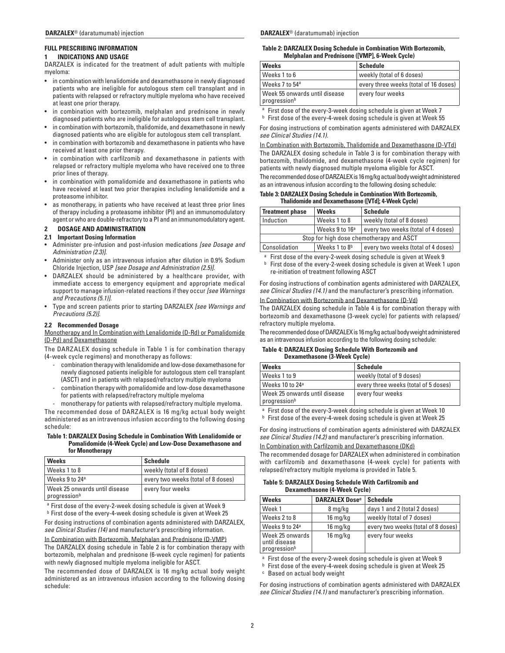## **FULL PRESCRIBING INFORMATION**

#### **1 INDICATIONS AND USAGE**

DARZALEX is indicated for the treatment of adult patients with multiple myeloma:

- in combination with lenalidomide and dexamethasone in newly diagnosed patients who are ineligible for autologous stem cell transplant and in patients with relapsed or refractory multiple myeloma who have received at least one prior therapy.
- in combination with bortezomib, melphalan and prednisone in newly diagnosed patients who are ineligible for autologous stem cell transplant.
- in combination with bortezomib, thalidomide, and dexamethasone in newly diagnosed patients who are eligible for autologous stem cell transplant.
- in combination with bortezomib and dexamethasone in patients who have received at least one prior therapy.
- in combination with carfilzomib and dexamethasone in patients with relapsed or refractory multiple myeloma who have received one to three prior lines of therapy.
- in combination with pomalidomide and dexamethasone in patients who have received at least two prior therapies including lenalidomide and a proteasome inhibitor.
- as monotherapy, in patients who have received at least three prior lines of therapy including a proteasome inhibitor (PI) and an immunomodulatory agent or who are double-refractory to a PI and an immunomodulatory agent.

## **2 DOSAGE AND ADMINISTRATION**

#### **2.1 Important Dosing Information**

- Administer pre-infusion and post-infusion medications *[see Dosage and Administration (2.3)]*.
- Administer only as an intravenous infusion after dilution in 0.9% Sodium Chloride Injection, USP *[see Dosage and Administration (2.5)].*
- DARZALEX should be administered by a healthcare provider, with immediate access to emergency equipment and appropriate medical support to manage infusion-related reactions if they occur *[see Warnings and Precautions (5.1)].*
- Type and screen patients prior to starting DARZALEX *[see Warnings and Precautions (5.2)]*.

## **2.2 Recommended Dosage**

## Monotherapy and In Combination with Lenalidomide (D-Rd) or Pomalidomide (D-Pd) and Dexamethasone

The DARZALEX dosing schedule in Table 1 is for combination therapy (4-week cycle regimens) and monotherapy as follows:

- combination therapy with lenalidomide and low-dose dexamethasone for newly diagnosed patients ineligible for autologous stem cell transplant (ASCT) and in patients with relapsed/refractory multiple myeloma
- combination therapy with pomalidomide and low-dose dexamethasone for patients with relapsed/refractory multiple myeloma
- monotherapy for patients with relapsed/refractory multiple myeloma.

The recommended dose of DARZALEX is 16 mg/kg actual body weight administered as an intravenous infusion according to the following dosing schedule:

## **Table 1: DARZALEX Dosing Schedule in Combination With Lenalidomide or Pomalidomide (4-Week Cycle) and Low-Dose Dexamethasone and for Monotherapy**

| <b>Weeks</b>                                  | <b>Schedule</b>                    |
|-----------------------------------------------|------------------------------------|
| Weeks 1 to 8                                  | weekly (total of 8 doses)          |
| Weeks 9 to 24 <sup>a</sup>                    | every two weeks (total of 8 doses) |
| Week 25 onwards until disease<br>progressionb | every four weeks                   |

<sup>a</sup> First dose of the every-2-week dosing schedule is given at Week 9

<sup>b</sup> First dose of the every-4-week dosing schedule is given at Week 25 For dosing instructions of combination agents administered with DARZALEX, *see Clinical Studies (14)* and manufacturer's prescribing information.

In Combination with Bortezomib, Melphalan and Prednisone (D-VMP)

The DARZALEX dosing schedule in Table 2 is for combination therapy with bortezomib, melphalan and prednisone (6-week cycle regimen) for patients with newly diagnosed multiple myeloma ineligible for ASCT.

The recommended dose of DARZALEX is 16 mg/kg actual body weight administered as an intravenous infusion according to the following dosing schedule:

#### **Table 2: DARZALEX Dosing Schedule in Combination With Bortezomib, Melphalan and Prednisone ([VMP], 6-Week Cycle)**

| <b>Weeks</b>                                              | Schedule                              |
|-----------------------------------------------------------|---------------------------------------|
| Weeks 1 to 6                                              | weekly (total of 6 doses)             |
| Weeks 7 to 54 <sup>a</sup>                                | every three weeks (total of 16 doses) |
| Week 55 onwards until disease<br>progression <sup>b</sup> | every four weeks                      |

<sup>a</sup> First dose of the every-3-week dosing schedule is given at Week 7

<sup>b</sup> First dose of the every-4-week dosing schedule is given at Week 55

For dosing instructions of combination agents administered with DARZALEX *see Clinical Studies (14.1).*

In Combination with Bortezomib, Thalidomide and Dexamethasone (D-VTd) The DARZALEX dosing schedule in Table 3 is for combination therapy with bortezomib, thalidomide, and dexamethasone (4-week cycle regimen) for patients with newly diagnosed multiple myeloma eligible for ASCT. The recommended dose of DARZALEX is 16 mg/kg actual body weight administered

as an intravenous infusion according to the following dosing schedule:

## **Table 3: DARZALEX Dosing Schedule in Combination With Bortezomib, Thalidomide and Dexamethasone ([VTd]; 4-Week Cycle)**

| <b>Treatment phase</b>                   | <b>Weeks</b>                                                     | <b>Schedule</b>                    |
|------------------------------------------|------------------------------------------------------------------|------------------------------------|
| Induction                                | Weeks 1 to 8                                                     | weekly (total of 8 doses)          |
|                                          | Weeks 9 to 16 <sup>a</sup><br>every two weeks (total of 4 doses) |                                    |
| Stop for high dose chemotherapy and ASCT |                                                                  |                                    |
| Consolidation                            | Weeks 1 to 8 <sup>b</sup>                                        | every two weeks (total of 4 doses) |

<sup>a</sup> First dose of the every-2-week dosing schedule is given at Week 9

b First dose of the every-2-week dosing schedule is given at Week 1 upon re-initiation of treatment following ASCT

For dosing instructions of combination agents administered with DARZALEX, *see Clinical Studies (14.1)* and the manufacturer's prescribing information.

In Combination with Bortezomib and Dexamethasone (D-Vd)

The DARZALEX dosing schedule in Table 4 is for combination therapy with bortezomib and dexamethasone (3-week cycle) for patients with relapsed/ refractory multiple myeloma.

The recommended dose of DARZALEX is 16 mg/kg actual body weight administered as an intravenous infusion according to the following dosing schedule:

## **Table 4: DARZALEX Dosing Schedule With Bortezomib and Dexamethasone (3-Week Cycle)**

| <b>Weeks</b>                                  | Schedule                             |
|-----------------------------------------------|--------------------------------------|
| Weeks 1 to 9                                  | weekly (total of 9 doses)            |
| Weeks 10 to 24 <sup>a</sup>                   | every three weeks (total of 5 doses) |
| Week 25 onwards until disease<br>progressionb | every four weeks                     |

<sup>a</sup> First dose of the every-3-week dosing schedule is given at Week 10

b First dose of the every-4-week dosing schedule is given at Week 25

For dosing instructions of combination agents administered with DARZALEX *see Clinical Studies (14.2)* and manufacturer's prescribing information.

## In Combination with Carfilzomib and Dexamethasone (DKd)

The recommended dosage for DARZALEX when administered in combination with carfilzomib and dexamethasone (4-week cycle) for patients with relapsed/refractory multiple myeloma is provided in Table 5.

### **Table 5: DARZALEX Dosing Schedule With Carfilzomib and Dexamethasone (4-Week Cycle)**

| <b>Weeks</b>                                     | <b>DARZALEX Dose<sup>c</sup></b> | <b>Schedule</b>                    |
|--------------------------------------------------|----------------------------------|------------------------------------|
| Week 1                                           | 8 mg/kg                          | days 1 and 2 (total 2 doses)       |
| Weeks 2 to 8                                     | 16 mg/kg                         | weekly (total of 7 doses)          |
| Weeks 9 to 24 <sup>a</sup>                       | 16 mg/kg                         | every two weeks (total of 8 doses) |
| Week 25 onwards<br>until disease<br>progressionb | 16 mg/kg                         | every four weeks                   |

<sup>a</sup> First dose of the every-2-week dosing schedule is given at Week 9

**b** First dose of the every-4-week dosing schedule is given at Week 25

<sup>c</sup> Based on actual body weight

For dosing instructions of combination agents administered with DARZALEX *see Clinical Studies (14.1)* and manufacturer's prescribing information.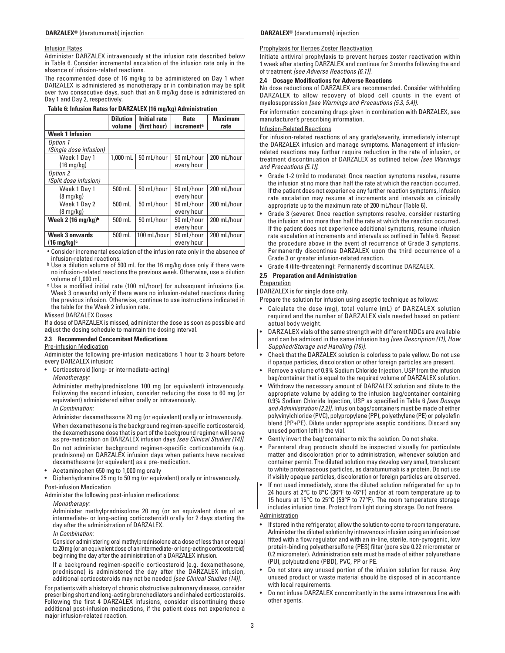## Infusion Rates

Administer DARZALEX intravenously at the infusion rate described below in Table 6. Consider incremental escalation of the infusion rate only in the absence of infusion-related reactions.

The recommended dose of 16 mg/kg to be administered on Day 1 when DARZALEX is administered as monotherapy or in combination may be split over two consecutive days, such that an 8 mg/kg dose is administered on Day 1 and Day 2, respectively.

## **Table 6: Infusion Rates for DARZALEX (16 mg/kg) Administration**

|                                | <b>Dilution</b><br>volume | <b>Initial rate</b><br>(first hour) | Rate<br>increment <sup>a</sup> | <b>Maximum</b><br>rate |
|--------------------------------|---------------------------|-------------------------------------|--------------------------------|------------------------|
| <b>Week 1 Infusion</b>         |                           |                                     |                                |                        |
| Option 1                       |                           |                                     |                                |                        |
| (Single dose infusion)         |                           |                                     |                                |                        |
| Week 1 Day 1                   | 1,000 mL                  | 50 mL/hour                          | 50 mL/hour                     | 200 mL/hour            |
| $(16 \text{ mg/kg})$           |                           |                                     | every hour                     |                        |
| Option 2                       |                           |                                     |                                |                        |
| (Split dose infusion)          |                           |                                     |                                |                        |
| Week 1 Day 1                   | 500 mL                    | 50 mL/hour                          | 50 mL/hour                     | 200 mL/hour            |
| $(8 \text{ mq/kg})$            |                           |                                     | every hour                     |                        |
| Week 1 Day 2                   | 500 mL                    | 50 mL/hour                          | 50 mL/hour                     | 200 mL/hour            |
| $(8 \text{ mq/kg})$            |                           |                                     | every hour                     |                        |
| Week 2 (16 mg/kg) <sup>b</sup> | 500 mL                    | 50 mL/hour                          | 50 mL/hour                     | 200 mL/hour            |
|                                |                           |                                     | every hour                     |                        |
| <b>Week 3 onwards</b>          | 500 mL                    | 100 mL/hour                         | 50 mL/hour                     | 200 mL/hour            |
| $(16 \text{ mg/kg})^c$         |                           |                                     | every hour                     |                        |

a Consider incremental escalation of the infusion rate only in the absence of infusion-related reactions.

- b Use a dilution volume of 500 mL for the 16 mg/kg dose only if there were no infusion-related reactions the previous week. Otherwise, use a dilution volume of 1,000 mL.
- c Use a modified initial rate (100 mL/hour) for subsequent infusions (i.e. Week 3 onwards) only if there were no infusion-related reactions during the previous infusion. Otherwise, continue to use instructions indicated in the table for the Week 2 infusion rate.

## Missed DARZALEX Doses

If a dose of DARZALEX is missed, administer the dose as soon as possible and adjust the dosing schedule to maintain the dosing interval.

## **2.3 Recommended Concomitant Medications**

## Pre-infusion Medication

Administer the following pre-infusion medications 1 hour to 3 hours before every DARZALEX infusion:

• Corticosteroid (long- or intermediate-acting)

*Monotherapy:*

Administer methylprednisolone 100 mg (or equivalent) intravenously. Following the second infusion, consider reducing the dose to 60 mg (or equivalent) administered either orally or intravenously.

*In Combination:*

Administer dexamethasone 20 mg (or equivalent) orally or intravenously. When dexamethasone is the background regimen-specific corticosteroid, the dexamethasone dose that is part of the background regimen will serve as pre-medication on DARZALEX infusion days *[see Clinical Studies (14)]*. Do not administer background regimen-specific corticosteroids (e.g. prednisone) on DARZALEX infusion days when patients have received dexamethasone (or equivalent) as a pre-medication.

• Acetaminophen 650 mg to 1,000 mg orally

• Diphenhydramine 25 mg to 50 mg (or equivalent) orally or intravenously.

## Post-infusion Medication

Administer the following post-infusion medications:

## *Monotherapy:*

Administer methylprednisolone 20 mg (or an equivalent dose of an intermediate- or long-acting corticosteroid) orally for 2 days starting the day after the administration of DARZALEX.

*In Combination:*

Consider administering oral methylprednisolone at a dose of less than or equal to 20 mg (or an equivalent dose of an intermediate- or long-acting corticosteroid) beginning the day after the administration of a DARZALEX infusion.

If a background regimen-specific corticosteroid (e.g. dexamethasone, prednisone) is administered the day after the DARZALEX infusion, additional corticosteroids may not be needed *[see Clinical Studies (14)]*.

For patients with a history of chronic obstructive pulmonary disease, consider prescribing short and long-acting bronchodilators and inhaled corticosteroids. Following the first 4 DARZALEX infusions, consider discontinuing these additional post-infusion medications, if the patient does not experience a major infusion-related reaction.

## Prophylaxis for Herpes Zoster Reactivation

Initiate antiviral prophylaxis to prevent herpes zoster reactivation within 1 week after starting DARZALEX and continue for 3 months following the end of treatment *[see Adverse Reactions (6.1)]*.

## **2.4 Dosage Modifications for Adverse Reactions**

No dose reductions of DARZALEX are recommended. Consider withholding DARZALEX to allow recovery of blood cell counts in the event of myelosuppression *[see Warnings and Precautions (5.3, 5.4)]*.

For information concerning drugs given in combination with DARZALEX, see manufacturer's prescribing information.

## Infusion-Related Reactions

For infusion-related reactions of any grade/severity, immediately interrupt the DARZALEX infusion and manage symptoms. Management of infusionrelated reactions may further require reduction in the rate of infusion, or treatment discontinuation of DARZALEX as outlined below *[see Warnings and Precautions (5.1)]*.

- Grade 1-2 (mild to moderate): Once reaction symptoms resolve, resume the infusion at no more than half the rate at which the reaction occurred. If the patient does not experience any further reaction symptoms, infusion rate escalation may resume at increments and intervals as clinically appropriate up to the maximum rate of 200 mL/hour (Table 6).
- Grade 3 (severe): Once reaction symptoms resolve, consider restarting the infusion at no more than half the rate at which the reaction occurred. If the patient does not experience additional symptoms, resume infusion rate escalation at increments and intervals as outlined in Table 6. Repeat the procedure above in the event of recurrence of Grade 3 symptoms. Permanently discontinue DARZALEX upon the third occurrence of a Grade 3 or greater infusion-related reaction.
- Grade 4 (life-threatening): Permanently discontinue DARZALEX.

## **2.5 Preparation and Administration**

## **Preparation**

DARZALEX is for single dose only.

Prepare the solution for infusion using aseptic technique as follows:

- Calculate the dose (mg), total volume (mL) of DARZALEX solution required and the number of DARZALEX vials needed based on patient actual body weight.
- DARZALEX vials of the same strength with different NDCs are available and can be admixed in the same infusion bag *[see Description (11), How Supplied/Storage and Handling (16)]*.
- Check that the DARZALEX solution is colorless to pale yellow. Do not use if opaque particles, discoloration or other foreign particles are present.
- Remove a volume of 0.9% Sodium Chloride Injection, USP from the infusion bag/container that is equal to the required volume of DARZALEX solution.
- Withdraw the necessary amount of DARZALEX solution and dilute to the appropriate volume by adding to the infusion bag/container containing 0.9% Sodium Chloride Injection, USP as specified in Table 6 *[see Dosage and Administration (2.2)].* Infusion bags/containers must be made of either polyvinylchloride (PVC), polypropylene (PP), polyethylene (PE) or polyolefin blend (PP+PE). Dilute under appropriate aseptic conditions. Discard any unused portion left in the vial.
- Gently invert the bag/container to mix the solution. Do not shake.
- Parenteral drug products should be inspected visually for particulate matter and discoloration prior to administration, whenever solution and container permit. The diluted solution may develop very small, translucent to white proteinaceous particles, as daratumumab is a protein. Do not use if visibly opaque particles, discoloration or foreign particles are observed.
- If not used immediately, store the diluted solution refrigerated for up to 24 hours at 2°C to 8°C (36°F to 46°F) and/or at room temperature up to 15 hours at 15°C to 25°C (59°F to 77°F). The room temperature storage includes infusion time. Protect from light during storage. Do not freeze.

## Administration

- If stored in the refrigerator, allow the solution to come to room temperature. Administer the diluted solution by intravenous infusion using an infusion set fitted with a flow regulator and with an in-line, sterile, non-pyrogenic, low protein-binding polyethersulfone (PES) filter (pore size 0.22 micrometer or 0.2 micrometer). Administration sets must be made of either polyurethane (PU), polybutadiene (PBD), PVC, PP or PE.
- Do not store any unused portion of the infusion solution for reuse. Any unused product or waste material should be disposed of in accordance with local requirements.
- Do not infuse DARZALEX concomitantly in the same intravenous line with other agents.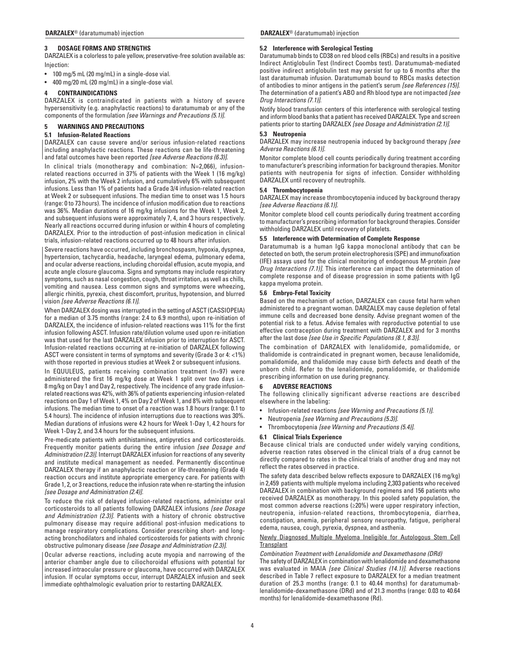## **3 DOSAGE FORMS AND STRENGTHS**

DARZALEX is a colorless to pale yellow, preservative-free solution available as: Injection:

- 100 mg/5 mL (20 mg/mL) in a single-dose vial.
- 400 mg/20 mL (20 mg/mL) in a single-dose vial.

## **4 CONTRAINDICATIONS**

DARZALEX is contraindicated in patients with a history of severe hypersensitivity (e.g. anaphylactic reactions) to daratumumab or any of the components of the formulation *[see Warnings and Precautions (5.1)].*

## **5 WARNINGS AND PRECAUTIONS**

## **5.1 Infusion-Related Reactions**

DARZALEX can cause severe and/or serious infusion-related reactions including anaphylactic reactions. These reactions can be life-threatening and fatal outcomes have been reported *[see Adverse Reactions (6.3)]*.

In clinical trials (monotherapy and combination: N=2,066), infusionrelated reactions occurred in 37% of patients with the Week 1 (16 mg/kg) infusion, 2% with the Week 2 infusion, and cumulatively 6% with subsequent infusions. Less than 1% of patients had a Grade 3/4 infusion-related reaction at Week 2 or subsequent infusions. The median time to onset was 1.5 hours (range: 0 to 73 hours). The incidence of infusion modification due to reactions was 36%. Median durations of 16 mg/kg infusions for the Week 1, Week 2, and subsequent infusions were approximately 7, 4, and 3 hours respectively. Nearly all reactions occurred during infusion or within 4 hours of completing DARZALEX. Prior to the introduction of post-infusion medication in clinical trials, infusion-related reactions occurred up to 48 hours after infusion.

Severe reactions have occurred, including bronchospasm, hypoxia, dyspnea, hypertension, tachycardia, headache, laryngeal edema, pulmonary edema, and ocular adverse reactions, including choroidal effusion, acute myopia, and acute angle closure glaucoma. Signs and symptoms may include respiratory symptoms, such as nasal congestion, cough, throat irritation, as well as chills, vomiting and nausea. Less common signs and symptoms were wheezing, allergic rhinitis, pyrexia, chest discomfort, pruritus, hypotension, and blurred vision *[see Adverse Reactions (6.1)]*.

When DARZALEX dosing was interrupted in the setting of ASCT (CASSIOPEIA) for a median of 3.75 months (range: 2.4 to 6.9 months), upon re-initiation of DARZALEX, the incidence of infusion-related reactions was 11% for the first infusion following ASCT. Infusion rate/dilution volume used upon re-initiation was that used for the last DARZALEX infusion prior to interruption for ASCT. Infusion-related reactions occurring at re-initiation of DARZALEX following ASCT were consistent in terms of symptoms and severity (Grade 3 or 4: <1%) with those reported in previous studies at Week 2 or subsequent infusions.

In EQUULEUS, patients receiving combination treatment (n=97) were administered the first 16 mg/kg dose at Week 1 split over two days i.e. 8 mg/kg on Day 1 and Day 2, respectively. The incidence of any grade infusionrelated reactions was 42%, with 36% of patients experiencing infusion-related reactions on Day 1 of Week 1, 4% on Day 2 of Week 1, and 8% with subsequent infusions. The median time to onset of a reaction was 1.8 hours (range: 0.1 to 5.4 hours). The incidence of infusion interruptions due to reactions was 30%. Median durations of infusions were 4.2 hours for Week 1-Day 1, 4.2 hours for Week 1-Day 2, and 3.4 hours for the subsequent infusions.

Pre-medicate patients with antihistamines, antipyretics and corticosteroids. Frequently monitor patients during the entire infusion *[see Dosage and Administration (2.3)]*. Interrupt DARZALEX infusion for reactions of any severity and institute medical management as needed. Permanently discontinue DARZALEX therapy if an anaphylactic reaction or life-threatening (Grade 4) reaction occurs and institute appropriate emergency care. For patients with Grade 1, 2, or 3 reactions, reduce the infusion rate when re-starting the infusion *[see Dosage and Administration (2.4)].*

To reduce the risk of delayed infusion-related reactions, administer oral corticosteroids to all patients following DARZALEX infusions *[see Dosage and Administration (2.3)]*. Patients with a history of chronic obstructive pulmonary disease may require additional post-infusion medications to manage respiratory complications. Consider prescribing short- and longacting bronchodilators and inhaled corticosteroids for patients with chronic obstructive pulmonary disease *[see Dosage and Administration (2.3)]*.

Ocular adverse reactions, including acute myopia and narrowing of the anterior chamber angle due to ciliochoroidal effusions with potential for increased intraocular pressure or glaucoma, have occurred with DARZALEX infusion. If ocular symptoms occur, interrupt DARZALEX infusion and seek immediate ophthalmologic evaluation prior to restarting DARZALEX.

## **5.2 Interference with Serological Testing**

Daratumumab binds to CD38 on red blood cells (RBCs) and results in a positive Indirect Antiglobulin Test (Indirect Coombs test). Daratumumab-mediated positive indirect antiglobulin test may persist for up to 6 months after the last daratumumab infusion. Daratumumab bound to RBCs masks detection of antibodies to minor antigens in the patient's serum *[see References (15)]*. The determination of a patient's ABO and Rh blood type are not impacted *[see Drug Interactions (7.1)]*.

Notify blood transfusion centers of this interference with serological testing and inform blood banks that a patient has received DARZALEX. Type and screen patients prior to starting DARZALEX *[see Dosage and Administration (2.1)]*.

## **5.3 Neutropenia**

DARZALEX may increase neutropenia induced by background therapy *[see Adverse Reactions (6.1)].*

Monitor complete blood cell counts periodically during treatment according to manufacturer's prescribing information for background therapies. Monitor patients with neutropenia for signs of infection. Consider withholding DARZALEX until recovery of neutrophils.

## **5.4 Thrombocytopenia**

DARZALEX may increase thrombocytopenia induced by background therapy *[see Adverse Reactions (6.1)].*

Monitor complete blood cell counts periodically during treatment according to manufacturer's prescribing information for background therapies. Consider withholding DARZALEX until recovery of platelets.

## **5.5 Interference with Determination of Complete Response**

Daratumumab is a human IgG kappa monoclonal antibody that can be detected on both, the serum protein electrophoresis (SPE) and immunofixation (IFE) assays used for the clinical monitoring of endogenous M-protein *[see Drug Interactions (7.1)]*. This interference can impact the determination of complete response and of disease progression in some patients with IgG kappa myeloma protein.

### **5.6 Embryo-Fetal Toxicity**

Based on the mechanism of action, DARZALEX can cause fetal harm when administered to a pregnant woman. DARZALEX may cause depletion of fetal immune cells and decreased bone density. Advise pregnant women of the potential risk to a fetus. Advise females with reproductive potential to use effective contraception during treatment with DARZALEX and for 3 months after the last dose *[see Use in Specific Populations (8.1, 8.3)]*.

The combination of DARZALEX with lenalidomide, pomalidomide, or thalidomide is contraindicated in pregnant women, because lenalidomide, pomalidomide, and thalidomide may cause birth defects and death of the unborn child. Refer to the lenalidomide, pomalidomide, or thalidomide prescribing information on use during pregnancy.

#### **6 ADVERSE REACTIONS**

The following clinically significant adverse reactions are described elsewhere in the labeling:

- Infusion-related reactions *[see Warning and Precautions (5.1)]*.
- Neutropenia *[see Warning and Precautions (5.3)]*.
- Thrombocytopenia *[see Warning and Precautions (5.4)]*.

## **6.1 Clinical Trials Experience**

Because clinical trials are conducted under widely varying conditions, adverse reaction rates observed in the clinical trials of a drug cannot be directly compared to rates in the clinical trials of another drug and may not reflect the rates observed in practice.

The safety data described below reflects exposure to DARZALEX (16 mg/kg) in 2,459 patients with multiple myeloma including 2,303 patients who received DARZALEX in combination with background regimens and 156 patients who received DARZALEX as monotherapy. In this pooled safety population, the most common adverse reactions (≥20%) were upper respiratory infection, neutropenia, infusion-related reactions, thrombocytopenia, diarrhea, constipation, anemia, peripheral sensory neuropathy, fatigue, peripheral edema, nausea, cough, pyrexia, dyspnea, and asthenia.

## Newly Diagnosed Multiple Myeloma Ineligible for Autologous Stem Cell **Transplant**

## *Combination Treatment with Lenalidomide and Dexamethasone (DRd)*

The safety of DARZALEX in combination with lenalidomide and dexamethasone was evaluated in MAIA *[see Clinical Studies (14.1)]*. Adverse reactions described in Table 7 reflect exposure to DARZALEX for a median treatment duration of 25.3 months (range: 0.1 to 40.44 months) for daratumumablenalidomide-dexamethasone (DRd) and of 21.3 months (range: 0.03 to 40.64 months) for lenalidomide-dexamethasone (Rd).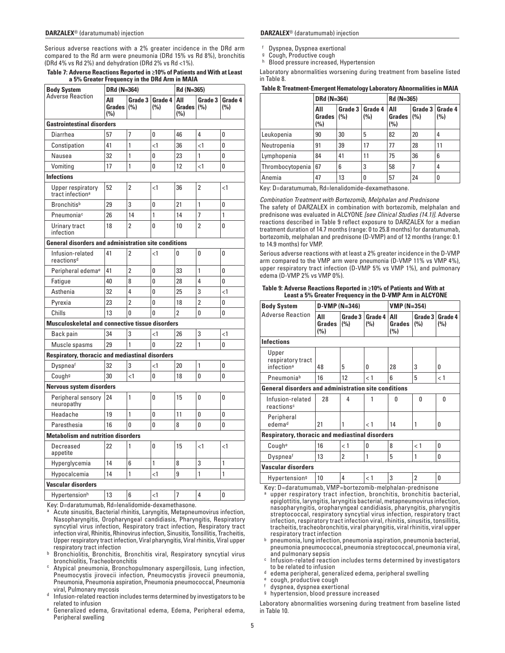Serious adverse reactions with a 2% greater incidence in the DRd arm compared to the Rd arm were pneumonia (DRd 15% vs Rd 8%), bronchitis (DRd 4% vs Rd 2%) and dehydration (DRd 2% vs Rd <1%).

|                                                             | a 370 Greater Frequency in the Driu Arm |                |                |                             |                |                |  |
|-------------------------------------------------------------|-----------------------------------------|----------------|----------------|-----------------------------|----------------|----------------|--|
| <b>Body System</b><br>Adverse Reaction                      | DRd (N=364)                             |                |                | Rd (N=365)                  |                |                |  |
|                                                             | All<br><b>Grades</b><br>(%)             | Grade 3<br>(%) | Grade 4<br>(%) | All<br><b>Grades</b><br>(%) | Grade 3<br>(%) | Grade 4<br>(%) |  |
| <b>Gastrointestinal disorders</b>                           |                                         |                |                |                             |                |                |  |
| Diarrhea                                                    | 57                                      | 7              | $\Omega$       | 46                          | 4              | 0              |  |
| Constipation                                                | 41                                      | 1              | $\leq$ 1       | 36                          | $\leq$ 1       | 0              |  |
| Nausea                                                      | 32                                      | 1              | 0              | 23                          | 1              | 0              |  |
| Vomiting                                                    | 17                                      | 1              | 0              | 12                          | $<$ 1          | 0              |  |
| <b>Infections</b>                                           |                                         |                |                |                             |                |                |  |
| Upper respiratory<br>tract infection <sup>a</sup>           | 52                                      | $\overline{2}$ | $<$ 1          | 36                          | $\overline{2}$ | $<$ 1          |  |
| <b>Bronchitis</b> <sup>b</sup>                              | 29                                      | 3              | 0              | 21                          | 1              | 0              |  |
| Pneumonia <sup>c</sup>                                      | 26                                      | 14             | 1              | 14                          | 7              | 1              |  |
| Urinary tract<br>infection                                  | 18                                      | $\overline{2}$ | 0              | 10                          | $\overline{2}$ | 0              |  |
| <b>General disorders and administration site conditions</b> |                                         |                |                |                             |                |                |  |
| Infusion-related<br>reactions <sup>d</sup>                  | 41                                      | $\overline{2}$ | $\leq$ 1       | 0                           | 0              | 0              |  |
| Peripheral edema <sup>e</sup>                               | 41                                      | $\overline{2}$ | 0              | 33                          | 1              | 0              |  |
| Fatigue                                                     | 40                                      | 8              | 0              | 28                          | 4              | 0              |  |
| Asthenia                                                    | 32                                      | 4              | 0              | 25                          | 3              | <1             |  |
| Pyrexia                                                     | 23                                      | $\overline{2}$ | 0              | 18                          | $\overline{2}$ | 0              |  |
| Chills                                                      | 13                                      | 0              | 0              | $\overline{2}$              | 0              | 0              |  |
| <b>Musculoskeletal and connective tissue disorders</b>      |                                         |                |                |                             |                |                |  |
| Back pain                                                   | 34                                      | 3              | $\leq$ 1       | 26                          | 3              | <1             |  |
| Muscle spasms                                               | 29                                      | 1              | 0              | 22                          | 1              | 0              |  |
| Respiratory, thoracic and mediastinal disorders             |                                         |                |                |                             |                |                |  |
| Dyspneaf                                                    | 32                                      | 3              | $\leq$ 1       | 20                          | 1              | 0              |  |
| Cough <sup>g</sup>                                          | 30                                      | $\leq$ 1       | 0              | 18                          | 0              | 0              |  |
| Nervous system disorders                                    |                                         |                |                |                             |                |                |  |
| Peripheral sensory<br>neuropathy                            | 24                                      | 1              | 0              | 15                          | 0              | 0              |  |
| Headache                                                    | 19                                      | 1              | 0              | 11                          | 0              | 0              |  |
| Paresthesia                                                 | 16                                      | $\Omega$       | 0              | 8                           | 0              | 0              |  |
| <b>Metabolism and nutrition disorders</b>                   |                                         |                |                |                             |                |                |  |
| Decreased<br>appetite                                       | 22                                      | 1              | 0              | 15                          | $\leq$ 1       | $\leq$ 1       |  |
| Hyperglycemia                                               | 14                                      | 6              | 1              | 8                           | 3              | 1              |  |
| Hypocalcemia                                                | 14                                      | 1              | $\leq$ 1       | 9                           | 1              | 1              |  |
| Vascular disorders                                          |                                         |                |                |                             |                |                |  |
| Hypertensionh                                               | 13                                      | 6              | $\leq$ 1       | $\overline{1}$              | $\overline{4}$ | $\mathbf{0}$   |  |

**Table 7: Adverse Reactions Reported in ≥10% of Patients and With at Least a 5% Greater Frequency in the DRd Arm in MAIA**

Key: D=daratumumab, Rd=lenalidomide-dexamethasone.

- a Acute sinusitis, Bacterial rhinitis, Laryngitis, Metapneumovirus infection, Nasopharyngitis, Oropharyngeal candidiasis, Pharyngitis, Respiratory syncytial virus infection, Respiratory tract infection, Respiratory tract infection viral, Rhinitis, Rhinovirus infection, Sinusitis, Tonsillitis, Tracheitis, Upper respiratory tract infection, Viral pharyngitis, Viral rhinitis, Viral upper respiratory tract infection
- **b Bronchiolitis, Bronchitis, Bronchitis viral, Respiratory syncytial virus** bronchiolitis, Tracheobronchitis
- Atypical pneumonia, Bronchopulmonary aspergillosis, Lung infection, Pneumocystis jirovecii infection, Pneumocystis jirovecii pneumonia, Pneumonia, Pneumonia aspiration, Pneumonia pneumococcal, Pneumonia viral, Pulmonary mycosis
- Infusion-related reaction includes terms determined by investigators to be related to infusion
- e Generalized edema, Gravitational edema, Edema, Peripheral edema, Peripheral swelling

<sup>f</sup> Dyspnea, Dyspnea exertional

<sup>g</sup> Cough, Productive cough

Blood pressure increased, Hypertension

Laboratory abnormalities worsening during treatment from baseline listed in Table 8.

|                  | DRd (N=364)                 |                |                | Rd (N=365)           |                    |                |
|------------------|-----------------------------|----------------|----------------|----------------------|--------------------|----------------|
|                  | All<br><b>Grades</b><br>(%) | Grade 3<br>(%) | Grade 4<br>(%) | All<br>Grades<br>(%) | Grade 3<br> (0, 0) | Grade 4<br>(%) |
| Leukopenia       | 90                          | 30             | 5              | 82                   | 20                 | 4              |
| Neutropenia      | 91                          | 39             | 17             | 77                   | 28                 | 11             |
| Lymphopenia      | 84                          | 41             | 11             | 75                   | 36                 | 6              |
| Thrombocytopenia | 67                          | 6              | 3              | 58                   |                    | 4              |
| Anemia           | 47                          | 13             | 0              | 57                   | 24                 | 0              |

Key: D=daratumumab, Rd=lenalidomide-dexamethasone.

*Combination Treatment with Bortezomib, Melphalan and Prednisone*

The safety of DARZALEX in combination with bortezomib, melphalan and prednisone was evaluated in ALCYONE *[see Clinical Studies (14.1)]*. Adverse reactions described in Table 9 reflect exposure to DARZALEX for a median treatment duration of 14.7 months (range: 0 to 25.8 months) for daratumumab, bortezomib, melphalan and prednisone (D-VMP) and of 12 months (range: 0.1 to 14.9 months) for VMP.

Serious adverse reactions with at least a 2% greater incidence in the D-VMP arm compared to the VMP arm were pneumonia (D-VMP 11% vs VMP 4%), upper respiratory tract infection (D-VMP 5% vs VMP 1%), and pulmonary edema (D-VMP 2% vs VMP 0%).

| <b>Body System</b>                                          | $D-VMP (N=346)$      |                |                | $VMP (N=354)$        |                |                |
|-------------------------------------------------------------|----------------------|----------------|----------------|----------------------|----------------|----------------|
| <b>Adverse Reaction</b>                                     | All<br>Grades<br>(%) | Grade 3<br>(%) | Grade 4<br>(%) | All<br>Grades<br>(%) | Grade 3<br>(%) | Grade 4<br>(%) |
| <b>Infections</b>                                           |                      |                |                |                      |                |                |
| Upper<br>respiratory tract<br>infection <sup>a</sup>        | 48                   | 5              | 0              | 28                   | 3              | O              |
| Pneumoniab                                                  | 16                   | 12             | < 1            | 6                    | 5              | < 1            |
| <b>General disorders and administration site conditions</b> |                      |                |                |                      |                |                |
| Infusion-related<br>reactions <sup>c</sup>                  | 28                   | 4              |                | 0                    | $\Omega$       | $\Omega$       |
| Peripheral<br>edemad                                        | 21                   |                | < 1            | 14                   | 1              | 0              |
| <b>Respiratory, thoracic and mediastinal disorders</b>      |                      |                |                |                      |                |                |
| Coughe                                                      | 16                   | < 1            | 0              | 8                    | < 1            | 0              |
| Dyspneaf                                                    | 13                   | 2              | 1              | 5                    | 1              | O              |
| <b>Vascular disorders</b>                                   |                      |                |                |                      |                |                |
| Hypertension <sup>g</sup>                                   | 10                   | 4              | < 1            | 3                    | 2              | U              |

## **Table 9: Adverse Reactions Reported in ≥10% of Patients and With at Least a 5% Greater Frequency in the D-VMP Arm in ALCYONE**

Key: D=daratumumab, VMP=bortezomib-melphalan-prednisone a upper respiratory tract infection, bronchitis, bronchitis bacterial, epiglottitis, laryngitis, laryngitis bacterial, metapneumovirus infection, nasopharyngitis, oropharyngeal candidiasis, pharyngitis, pharyngitis streptococcal, respiratory syncytial virus infection, respiratory tract infection, respiratory tract infection viral, rhinitis, sinusitis, tonsillitis, tracheitis, tracheobronchitis, viral pharyngitis, viral rhinitis, viral upper

- $b$  pneumonia, lung infection, pneumonia aspiration, pneumonia bacterial, pneumonia pneumococcal, pneumonia streptococcal, pneumonia viral,
- and pulmonary sepsis<br>Infusion-related reaction includes terms determined by investigators<br>to be related to infusion
- to be related to infusion <sup>d</sup> edema peripheral, generalized edema, peripheral swelling <sup>e</sup> cough, productive cough <sup>f</sup> dyspnea, dyspnea exertional <sup>g</sup> hypertension, blood pressure increased
- 
- 
- 

Laboratory abnormalities worsening during treatment from baseline listed in Table 10.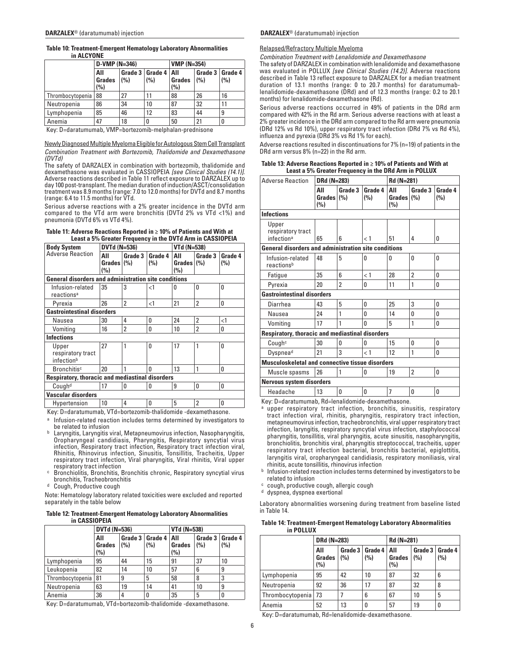| <b>Table 10: Treatment-Emergent Hematology Laboratory Abnormalities</b> |  |
|-------------------------------------------------------------------------|--|
| in ALCYONE                                                              |  |

|                  |                             | $D-VMP (N=346)$ |                                |                      | $VMP (N=354)$            |     |  |
|------------------|-----------------------------|-----------------|--------------------------------|----------------------|--------------------------|-----|--|
|                  | All<br><b>Grades</b><br>(%) | (%)             | Grade 3   Grade 4   All<br>(%) | <b>Grades</b><br>(%) | Grade 3   Grade 4<br>(%) | (%) |  |
| Thrombocytopenia | 88                          | 27              |                                | 88                   | 26                       | 16  |  |
| Neutropenia      | 86                          | 34              | 10                             | 87                   | 32                       |     |  |
| Lymphopenia      | 85                          | 46              | 12                             | 83                   | 44                       | 9   |  |
| Anemia           | 47                          | 18              |                                | 50                   | 21                       |     |  |

Key: D=daratumumab, VMP=bortezomib-melphalan-prednisone

#### Newly Diagnosed Multiple Myeloma Eligible for Autologous Stem Cell Transplant *Combination Treatment with Bortezomib, Thalidomide and Dexamethasone (DVTd)*

The safety of DARZALEX in combination with bortezomib, thalidomide and dexamethasone was evaluated in CASSIOPEIA *[see Clinical Studies (14.1)]*. Adverse reactions described in Table 11 reflect exposure to DARZALEX up to day 100 post-transplant. The median duration of induction/ASCT/consolidation treatment was 8.9 months (range: 7.0 to 12.0 months) for DVTd and 8.7 months (range: 6.4 to 11.5 months) for VTd.

Serious adverse reactions with a 2% greater incidence in the DVTd arm compared to the VTd arm were bronchitis (DVTd 2% vs VTd <1%) and pneumonia (DVTd 6% vs VTd 4%).

| Table 11: Adverse Reactions Reported in $\geq$ 10% of Patients and With at |  |  |
|----------------------------------------------------------------------------|--|--|
| Least a 5% Greater Frequency in the DVTd Arm in CASSIOPEIA                 |  |  |

| <b>DVTd (N=536)</b>                                         |                |                | VTd (N=538) |                             |                |  |  |
|-------------------------------------------------------------|----------------|----------------|-------------|-----------------------------|----------------|--|--|
| All<br>(%)                                                  | Grade 3        | Grade 4<br>(%) | All<br>(%)  | Grade 3                     | Grade 4<br>(%) |  |  |
| <b>General disorders and administration site conditions</b> |                |                |             |                             |                |  |  |
| 35                                                          | 3              | $\leq$ 1       | 0           | O                           | 0              |  |  |
| 26                                                          | $\overline{2}$ | $<$ 1          | 21          | $\overline{2}$              | 0              |  |  |
| <b>Gastrointestinal disorders</b>                           |                |                |             |                             |                |  |  |
| 30                                                          | 4              | 0              | 24          | $\overline{2}$              | $\leq$ 1       |  |  |
| 16                                                          | $\overline{2}$ | O              | 10          | $\mathfrak{p}$              | 0              |  |  |
|                                                             |                |                |             |                             |                |  |  |
| 27                                                          | 1              | 0              | 17          |                             | O              |  |  |
| 20                                                          |                | O              | 13          |                             | 0              |  |  |
| <b>Respiratory, thoracic and mediastinal disorders</b>      |                |                |             |                             |                |  |  |
| 17                                                          | 0              | O              | 9           | 0                           | 0              |  |  |
| Vascular disorders                                          |                |                |             |                             |                |  |  |
| 10                                                          | 4              | 0              | 5           | $\overline{2}$              | 0              |  |  |
|                                                             |                | Grades (%)     | $\cdots$    | $\cdots$<br>$\cdot$ $\cdot$ | Grades $(\% )$ |  |  |

Key: D=daratumumab, VTd=bortezomib-thalidomide -dexamethasone.

- a Infusion-related reaction includes terms determined by investigators to be related to infusion
- **b** Laryngitis, Laryngitis viral, Metapneumovirus infection, Nasopharyngitis, Oropharyngeal candidiasis, Pharyngitis, Respiratory syncytial virus infection, Respiratory tract infection, Respiratory tract infection viral, Rhinitis, Rhinovirus infection, Sinusitis, Tonsillitis, Tracheitis, Upper respiratory tract infection, Viral pharyngitis, Viral rhinitis, Viral upper
- respiratory tract infection<br>Bronchiolitis, Bronchitis, Bronchitis chronic, Respiratory syncytial virus
- bronchitis, Tracheobronchitis<br><sup>d</sup> Cough, Productive cough

Note: Hematology laboratory related toxicities were excluded and reported separately in the table below

#### **Table 12: Treatment-Emergent Hematology Laboratory Abnormalities in CASSIOPEIA**

|                  | <b>DVTd (N=536)</b>  |     |                          | VTd (N=538)                        |                          |     |
|------------------|----------------------|-----|--------------------------|------------------------------------|--------------------------|-----|
|                  | All<br>Grades<br>(%) | (%) | Grade 3   Grade 4<br>(%) | <b>AII</b><br><b>Grades</b><br>(%) | Grade 3   Grade 4<br>(%) | (%) |
| Lymphopenia      | 95                   | 44  | 15                       | 91                                 | 37                       | 10  |
| Leukopenia       | 82                   | 14  | 10                       | 57                                 | 6                        | 9   |
| Thrombocytopenia | 81                   | 9   | 5                        | 58                                 | 8                        | 3   |
| Neutropenia      | 63                   | 19  | 14                       | 41                                 | 10                       | 9   |
| Anemia           | 36                   |     | 0                        | 35                                 | 5                        |     |

Key: D=daratumumab, VTd=bortezomib-thalidomide -dexamethasone.

## **DARZALEX**® (daratumumab) injection **DARZALEX**® (daratumumab) injection

#### Relapsed/Refractory Multiple Myeloma

*Combination Treatment with Lenalidomide and Dexamethasone*

The safety of DARZALEX in combination with lenalidomide and dexamethasone was evaluated in POLLUX *[see Clinical Studies (14.2)]*. Adverse reactions described in Table 13 reflect exposure to DARZALEX for a median treatment duration of 13.1 months (range: 0 to 20.7 months) for daratumumablenalidomide-dexamethasone (DRd) and of 12.3 months (range: 0.2 to 20.1 months) for lenalidomide-dexamethasone (Rd).

Serious adverse reactions occurred in 49% of patients in the DRd arm compared with 42% in the Rd arm. Serious adverse reactions with at least a 2% greater incidence in the DRd arm compared to the Rd arm were pneumonia (DRd 12% vs Rd 10%), upper respiratory tract infection (DRd 7% vs Rd 4%), influenza and pyrexia (DRd 3% vs Rd 1% for each).

Adverse reactions resulted in discontinuations for 7% (n=19) of patients in the DRd arm versus 8% (n=22) in the Rd arm.

| Table 13: Adverse Reactions Reported in $\geq$ 10% of Patients and With at |
|----------------------------------------------------------------------------|
| Least a 5% Greater Frequency in the DRd Arm in POLLUX                      |

| <b>Adverse Reaction</b>                                | <b>DRd (N=283)</b>                                          |                |                | Rd (N=281)                  |                |                |  |
|--------------------------------------------------------|-------------------------------------------------------------|----------------|----------------|-----------------------------|----------------|----------------|--|
|                                                        | All<br><b>Grades</b><br>(%)                                 | Grade 3<br>(%) | Grade 4<br>(%) | All<br><b>Grades</b><br>(%) | Grade 3<br>(%) | Grade 4<br>(%) |  |
| <b>Infections</b>                                      |                                                             |                |                |                             |                |                |  |
| Upper<br>respiratory tract<br>infection <sup>a</sup>   | 65                                                          | 6              | < 1            | 51                          | 4              | 0              |  |
|                                                        | <b>General disorders and administration site conditions</b> |                |                |                             |                |                |  |
| Infusion-related<br>reactionsb                         | 48                                                          | 5              | 0              | O                           | 0              | 0              |  |
| Fatigue                                                | 35                                                          | 6              | < 1            | 28                          | $\overline{2}$ | 0              |  |
| Pyrexia                                                | 20                                                          | $\overline{2}$ | 0              | 11                          | 1              | 0              |  |
| <b>Gastrointestinal disorders</b>                      |                                                             |                |                |                             |                |                |  |
| Diarrhea                                               | 43                                                          | 5              | 0              | 25                          | 3              | 0              |  |
| Nausea                                                 | 24                                                          | 1              | 0              | 14                          | $\Omega$       | $\Omega$       |  |
| Vomiting                                               | 17                                                          | 1              | O              | 5                           | 1              | 0              |  |
| Respiratory, thoracic and mediastinal disorders        |                                                             |                |                |                             |                |                |  |
| Cough <sup>c</sup>                                     | 30                                                          | 0              | 0              | 15                          | 0              | 0              |  |
| Dyspnead                                               | 21                                                          | 3              | $\lt 1$        | 12                          | 1              | 0              |  |
| <b>Musculoskeletal and connective tissue disorders</b> |                                                             |                |                |                             |                |                |  |
| Muscle spasms                                          | 26                                                          | 1              | 0              | 19                          | $\overline{2}$ | 0              |  |
| <b>Nervous system disorders</b>                        |                                                             |                |                |                             |                |                |  |
| Headache                                               | 13                                                          | 0              | 0              | 7                           | 0              | 0              |  |

Key: D=daratumumab, Rd=lenalidomide-dexamethasone.

- upper respiratory tract infection, bronchitis, sinusitis, respiratory tract infection viral, rhinitis, pharyngitis, respiratory tract infection, metapneumovirus infection, tracheobronchitis, viral upper respiratory tract infection, laryngitis, respiratory syncytial virus infection, staphylococcal pharyngitis, tonsillitis, viral pharyngitis, acute sinusitis, nasopharyngitis, bronchiolitis, bronchitis viral, pharyngitis streptococcal, tracheitis, upper respiratory tract infection bacterial, bronchitis bacterial, epiglottitis, laryngitis viral, oropharyngeal candidiasis, respiratory moniliasis, viral rhinitis, acute tonsillitis, rhinovirus infection
- b Infusion-related reaction includes terms determined by investigators to be related to infusion
- c cough, productive cough, allergic cough
- d dyspnea, dyspnea exertional

Laboratory abnormalities worsening during treatment from baseline listed in Table 14.

| Table 14: Treatment-Emergent Hematology Laboratory Abnormalities |
|------------------------------------------------------------------|
| in POLLUX                                                        |

|                  | DRd (N=283)          |     |                                | Rd (N=281)    |                |                |
|------------------|----------------------|-----|--------------------------------|---------------|----------------|----------------|
|                  | All<br>Grades<br>(%) | (%) | Grade 3   Grade 4   All<br>(%) | Grades<br>(%) | Grade 3<br>(%) | Grade 4<br>(%) |
| Lymphopenia      | 95                   | 42  | 10                             | 87            | 32             | 6              |
| Neutropenia      | 92                   | 36  | 17                             | 87            | 32             | 8              |
| Thrombocytopenia | 73                   |     | 6                              | 67            | 10             | 5              |
| Anemia           | 52                   | 13  | 0                              | 57            | 19             | 0              |

Key: D=daratumumab, Rd=lenalidomide-dexamethasone.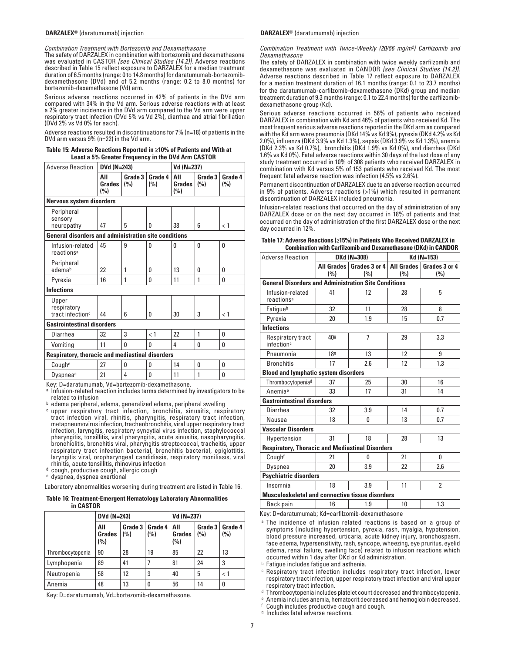*Combination Treatment with Bortezomib and Dexamethasone*

The safety of DARZALEX in combination with bortezomib and dexamethasone was evaluated in CASTOR *[see Clinical Studies (14.2)]*. Adverse reactions described in Table 15 reflect exposure to DARZALEX for a median treatment duration of 6.5 months (range: 0 to 14.8 months) for daratumumab-bortezomibdexamethasone (DVd) and of 5.2 months (range: 0.2 to 8.0 months) for bortezomib-dexamethasone (Vd) arm.

Serious adverse reactions occurred in 42% of patients in the DVd arm compared with 34% in the Vd arm. Serious adverse reactions with at least a 2% greater incidence in the DVd arm compared to the Vd arm were upper respiratory tract infection (DVd 5% vs Vd 2%), diarrhea and atrial fibrillation (DVd 2% vs Vd 0% for each).

Adverse reactions resulted in discontinuations for 7% (n=18) of patients in the DVd arm versus 9% (n=22) in the Vd arm.

| Table 15: Adverse Reactions Reported in ≥10% of Patients and With at |  |
|----------------------------------------------------------------------|--|
| Least a 5% Greater Frequency in the DVd Arm CASTOR                   |  |

| <b>Adverse Reaction</b>                                     | DVd (N=243)                                     |                |                | Vd (N=237)           |                |                |  |  |
|-------------------------------------------------------------|-------------------------------------------------|----------------|----------------|----------------------|----------------|----------------|--|--|
|                                                             | All<br><b>Grades</b><br>(%)                     | Grade 3<br>(%) | Grade 4<br>(%) | All<br>Grades<br>(%) | Grade 3<br>(%) | Grade 4<br>(%) |  |  |
| <b>Nervous system disorders</b>                             |                                                 |                |                |                      |                |                |  |  |
| Peripheral<br>sensory<br>neuropathy                         | 47                                              | 5              | O.             | 38                   | 6              | < 1            |  |  |
| <b>General disorders and administration site conditions</b> |                                                 |                |                |                      |                |                |  |  |
| Infusion-related<br>reactions <sup>a</sup>                  | 45                                              | 9              | $\mathbf{0}$   | 0                    | 0              | 0              |  |  |
| Peripheral<br>edemab                                        | 22                                              | 1              | 0              | 13                   | 0              | 0              |  |  |
| Pyrexia                                                     | 16                                              | 1              | $\mathbf{0}$   | 11                   | 1              | U              |  |  |
| <b>Infections</b>                                           |                                                 |                |                |                      |                |                |  |  |
| Upper<br>respiratory<br>tract infection <sup>c</sup>        | 44                                              | 6              | $\Omega$       | 30                   | 3              | < 1            |  |  |
| <b>Gastrointestinal disorders</b>                           |                                                 |                |                |                      |                |                |  |  |
| Diarrhea                                                    | 32                                              | 3              | < 1            | 22                   | 1              | 0              |  |  |
| Vomiting                                                    | 11                                              | $\Omega$       | 0              | 4                    | 0              | 0              |  |  |
|                                                             | Respiratory, thoracic and mediastinal disorders |                |                |                      |                |                |  |  |
| Cough <sup>d</sup>                                          | 27                                              | 0              | $\mathbf{0}$   | 14                   | 0              | 0              |  |  |
| Dyspnea <sup>e</sup>                                        | 21                                              | 4              | O              | 11                   | 1              | 0              |  |  |

Key: D=daratumumab, Vd=bortezomib-dexamethasone.

a Infusion-related reaction includes terms determined by investigators to be

 $b$  edema peripheral, edema, generalized edema, peripheral swelling<br>c upper respiratory tract infection, bronchitis, sinusitis, respiratory tract infection viral, rhinitis, pharyngitis, respiratory tract infection, metapneumovirus infection, tracheobronchitis, viral upper respiratory tract infection, laryngitis, respiratory syncytial virus infection, staphylococcal pharyngitis, tonsillitis, viral pharyngitis, acute sinusitis, nasopharyngitis, bronchiolitis, bronchitis viral, pharyngitis streptococcal, tracheitis, upper respiratory tract infection bacterial, bronchitis bacterial, epiglottitis, laryngitis viral, oropharyngeal candidiasis, respiratory moniliasis, viral

<sup>d</sup> cough, productive cough, allergic cough<br><sup>e</sup> dyspnea, dyspnea exertional

Laboratory abnormalities worsening during treatment are listed in Table 16.

## **Table 16: Treatment-Emergent Hematology Laboratory Abnormalities in CASTOR**

|                  | DVd (N=243)                 |     |                          | Vd (N=237)                         |     |                          |  |
|------------------|-----------------------------|-----|--------------------------|------------------------------------|-----|--------------------------|--|
|                  | All<br><b>Grades</b><br>(%) | (%) | Grade 3   Grade 4<br>(%) | <b>AII</b><br><b>Grades</b><br>(%) | (%) | Grade 3   Grade 4<br>(%) |  |
| Thrombocytopenia | 90                          | 28  | 19                       | 85                                 | 22  | 13                       |  |
| Lymphopenia      | 89                          | 41  |                          | 81                                 | 24  | 3                        |  |
| Neutropenia      | 58                          | 12  | 3                        | 40                                 | 5   | < 1                      |  |
| Anemia           | 48                          | 13  |                          | 56                                 | 14  | 0                        |  |

Key: D=daratumumab, Vd=bortezomib-dexamethasone.

#### **DARZALEX**® (daratumumab) injection **DARZALEX**® (daratumumab) injection

*Combination Treatment with Twice-Weekly (20/56 mg/m2) Carfilzomib and Dexamethasone*

The safety of DARZALEX in combination with twice weekly carfilzomib and dexamethasone was evaluated in CANDOR *[see Clinical Studies (14.2)]*. Adverse reactions described in Table 17 reflect exposure to DARZALEX for a median treatment duration of 16.1 months (range: 0.1 to 23.7 months) for the daratumumab-carfilzomib-dexamethasone (DKd) group and median treatment duration of 9.3 months (range: 0.1 to 22.4 months) for the carfilzomibdexamethasone group (Kd).

Serious adverse reactions occurred in 56% of patients who received DARZALEX in combination with Kd and 46% of patients who received Kd. The most frequent serious adverse reactions reported in the DKd arm as compared with the Kd arm were pneumonia (DKd 14% vs Kd 9%), pyrexia (DKd 4.2% vs Kd 2.0%), influenza (DKd 3.9% vs Kd 1.3%), sepsis (DKd 3.9% vs Kd 1.3%), anemia (DKd 2.3% vs Kd 0.7%), bronchitis (DKd 1.9% vs Kd 0%), and diarrhea (DKd 1.6% vs Kd 0%). Fatal adverse reactions within 30 days of the last dose of any study treatment occurred in 10% of 308 patients who received DARZALEX in combination with Kd versus 5% of 153 patients who received Kd. The most frequent fatal adverse reaction was infection (4.5% vs 2.6%).

Permanent discontinuation of DARZALEX due to an adverse reaction occurred in 9% of patients. Adverse reactions (>1%) which resulted in permanent discontinuation of DARZALEX included pneumonia.

Infusion-related reactions that occurred on the day of administration of any DARZALEX dose or on the next day occurred in 18% of patients and that occurred on the day of administration of the first DARZALEX dose or the next day occurred in 12%.

| Table 17: Adverse Reactions (≥15%) in Patients Who Received DARZALEX in |
|-------------------------------------------------------------------------|
| <b>Combination with Carfilzomib and Dexamethasone (DKd) in CANDOR</b>   |

| <b>Adverse Reaction</b>                                     | DKd (N=308)       |                                     | Kd (N=153) |                      |  |
|-------------------------------------------------------------|-------------------|-------------------------------------|------------|----------------------|--|
|                                                             | All Grades<br>(%) | Grades 3 or 4   All Grades  <br>(%) | (%)        | Grades 3 or 4<br>(%) |  |
| <b>General Disorders and Administration Site Conditions</b> |                   |                                     |            |                      |  |
| Infusion-related<br>reactions <sup>a</sup>                  | 41                | 12                                  | 28         | 5                    |  |
| Fatiqueb                                                    | 32                | 11                                  | 28         | 8                    |  |
| Pyrexia                                                     | 20                | 1.9                                 | 15         | 0.7                  |  |
| <b>Infections</b>                                           |                   |                                     |            |                      |  |
| Respiratory tract<br>infection <sup>c</sup>                 | 40 <sup>g</sup>   | $\overline{1}$                      | 29         | 3.3                  |  |
| Pneumonia                                                   | <b>18</b> g       | 13                                  | 12         | 9                    |  |
| <b>Bronchitis</b>                                           | 17                | 2.6                                 | 12         | 1.3                  |  |
| <b>Blood and lymphatic system disorders</b>                 |                   |                                     |            |                      |  |
| Thrombocytopeniad                                           | 37                | 25                                  | 30         | 16                   |  |
| Anemia <sup>e</sup>                                         | 33                | 17                                  | 31         | 14                   |  |
| <b>Gastrointestinal disorders</b>                           |                   |                                     |            |                      |  |
| <b>Diarrhea</b>                                             | 32                | 3.9                                 | 14         | 0.7                  |  |
| Nausea                                                      | 18                | 0                                   | 13         | 0.7                  |  |
| <b>Vascular Disorders</b>                                   |                   |                                     |            |                      |  |
| Hypertension                                                | 31                | 18                                  | 28         | 13                   |  |
| <b>Respiratory, Thoracic and Mediastinal Disorders</b>      |                   |                                     |            |                      |  |
| Coughf                                                      | 21                | 0                                   | 21         | 0                    |  |
| Dyspnea                                                     | 20                | 3.9                                 | 22         | 2.6                  |  |
| <b>Psychiatric disorders</b>                                |                   |                                     |            |                      |  |
| Insomnia                                                    | 18                | 3.9                                 | 11         | 2                    |  |
| <b>Musculoskeletal and connective tissue disorders</b>      |                   |                                     |            |                      |  |
| Back pain                                                   | 16                | 1.9                                 | 10         | 1.3                  |  |

Key: D=daratumumab; Kd=carfilzomib-dexamethasone

**b** Fatigue includes fatigue and asthenia.

c Respiratory tract infection includes respiratory tract infection, lower respiratory tract infection, upper respiratory tract infection and viral upper respiratory tract infection.

d Thrombocytopenia includes platelet count decreased and thrombocytopenia.

e Anemia includes anemia, hematocrit decreased and hemoglobin decreased.

f  $f$  Cough includes productive cough and cough.<br><sup>g</sup> Includes fatal adverse reactions.

a The incidence of infusion related reactions is based on a group of symptoms (including hypertension, pyrexia, rash, myalgia, hypotension, blood pressure increased, urticaria, acute kidney injury, bronchospasm, face edema, hypersensitivity, rash, syncope, wheezing, eye pruritus, eyelid edema, renal failure, swelling face) related to infusion reactions which occurred within 1 day after DKd or Kd administration.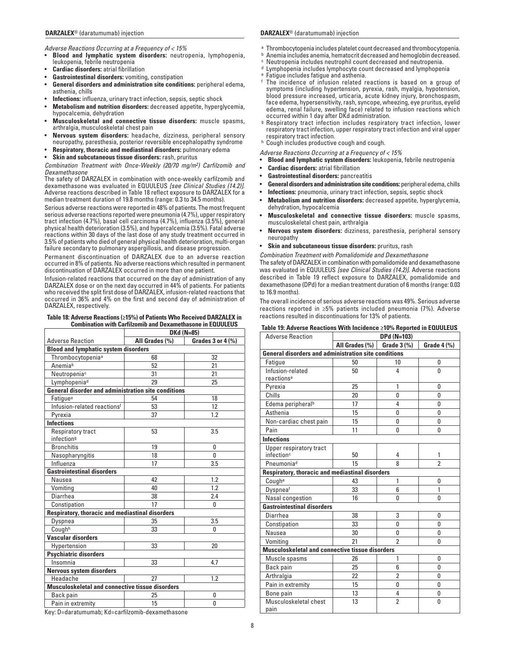*Adverse Reactions Occurring at a Frequency of < 15%*

- **Blood and lymphatic system disorders:** neutropenia, lymphopenia, leukopenia, febrile neutropenia
- **Cardiac disorders:** atrial fibrillation
- **Gastrointestinal disorders:** vomiting, constipation
- **General disorders and administration site conditions:** peripheral edema, asthenia, chills
- **Infections:** influenza, urinary tract infection, sepsis, septic shock
- **Metabolism and nutrition disorders:** decreased appetite, hyperglycemia, hypocalcemia, dehydration
- **Musculoskeletal and connective tissue disorders:** muscle spasms, arthralgia, musculoskeletal chest pain
- **Nervous system disorders:** headache, dizziness, peripheral sensory neuropathy, paresthesia, posterior reversible encephalopathy syndrome
- **Respiratory, thoracic and mediastinal disorders:** pulmonary edema
- **Skin and subcutaneous tissue disorders:** rash, pruritus

*Combination Treatment with Once-Weekly (20/70 mg/m2) Carfilzomib and Dexamethasone*

The safety of DARZALEX in combination with once-weekly carfilzomib and dexamethasone was evaluated in EQUULEUS *[see Clinical Studies (14.2)]*. Adverse reactions described in Table 18 reflect exposure to DARZALEX for a median treatment duration of 19.8 months (range: 0.3 to 34.5 months).

Serious adverse reactions were reported in 48% of patients. The most frequent serious adverse reactions reported were pneumonia (4.7%), upper respiratory tract infection (4.7%), basal cell carcinoma (4.7%), influenza (3.5%), general physical health deterioration (3.5%), and hypercalcemia (3.5%). Fatal adverse reactions within 30 days of the last dose of any study treatment occurred in 3.5% of patients who died of general physical health deterioration, multi-organ failure secondary to pulmonary aspergillosis, and disease progression.

Permanent discontinuation of DARZALEX due to an adverse reaction occurred in 8% of patients. No adverse reactions which resulted in permanent discontinuation of DARZALEX occurred in more than one patient.

Infusion-related reactions that occurred on the day of administration of any DARZALEX dose or on the next day occurred in 44% of patients. For patients who received the split first dose of DARZALEX, infusion-related reactions that occurred in 36% and 4% on the first and second day of administration of DARZALEX, respectively.

#### **Table 18: Adverse Reactions (≥15%) of Patients Who Received DARZALEX in Combination with Carfilzomib and Dexamethasone in EQUULEUS**

|                                                            | DKd (N=85)                          |          |  |  |
|------------------------------------------------------------|-------------------------------------|----------|--|--|
| <b>Adverse Reaction</b>                                    | All Grades (%)<br>Grades 3 or 4 (%) |          |  |  |
| <b>Blood and lymphatic system disorders</b>                |                                     |          |  |  |
| Thrombocytopenia <sup>a</sup>                              | 68                                  | 32       |  |  |
| Anemiab                                                    | 52                                  | 21       |  |  |
| Neutropenia <sup>c</sup>                                   | 31                                  | 21       |  |  |
| Lymphopeniad                                               | 29                                  | 25       |  |  |
| <b>General disorder and administration site conditions</b> |                                     |          |  |  |
| Fatique <sup>e</sup>                                       | 54                                  | 18       |  |  |
| Infusion-related reactionsf                                | 53                                  | 12       |  |  |
| Pvrexia                                                    | 37                                  | 1.2      |  |  |
| <b>Infections</b>                                          |                                     |          |  |  |
| Respiratory tract                                          | 53                                  | 3.5      |  |  |
| infection <sup>g</sup>                                     |                                     |          |  |  |
| <b>Bronchitis</b>                                          | 19                                  | 0        |  |  |
| Nasopharyngitis                                            | 18                                  | $\Omega$ |  |  |
| Influenza                                                  | 17                                  | 3.5      |  |  |
| <b>Gastrointestinal disorders</b>                          |                                     |          |  |  |
| Nausea                                                     | 42                                  | 1.2      |  |  |
| Vomiting                                                   | 40                                  | 1.2      |  |  |
| Diarrhea                                                   | 38                                  | 2.4      |  |  |
| Constipation                                               | 17                                  | $\Omega$ |  |  |
| Respiratory, thoracic and mediastinal disorders            |                                     |          |  |  |
| Dyspnea                                                    | 35                                  | 3.5      |  |  |
| Coughh                                                     | 33                                  | 0        |  |  |
| <b>Vascular disorders</b>                                  |                                     |          |  |  |
| Hypertension                                               | 33                                  | 20       |  |  |
| <b>Psychiatric disorders</b>                               |                                     |          |  |  |
| Insomnia                                                   | 33                                  | 4.7      |  |  |
| <b>Nervous system disorders</b>                            |                                     |          |  |  |
| Headache                                                   | 27                                  | 1.2      |  |  |
| Musculoskeletal and connective tissue disorders            |                                     |          |  |  |
| Back pain                                                  | 25                                  | 0        |  |  |
| Pain in extremity<br>$V = 1$ , $V = 1$ , $V = 1$           | 15                                  | 0        |  |  |

## **DARZALEX**® (daratumumab) injection **DARZALEX**® (daratumumab) injection

- a Thrombocytopenia includes platelet count decreased and thrombocytopenia.
- **b** Anemia includes anemia, hematocrit decreased and hemoglobin decreased.
- c Neutropenia includes neutrophil count decreased and neutropenia.
- d Lymphopenia includes lymphocyte count decreased and lymphopenia
- e Fatigue includes fatigue and asthenia.
- f The incidence of infusion related reactions is based on a group of symptoms (including hypertension, pyrexia, rash, myalgia, hypotension, blood pressure increased, urticaria, acute kidney injury, bronchospasm, face edema, hypersensitivity, rash, syncope, wheezing, eye pruritus, eyelid edema, renal failure, swelling face) related to infusion reactions which occurred within 1 day after DKd administration.
- g Respiratory tract infection includes respiratory tract infection, lower respiratory tract infection, upper respiratory tract infection and viral upper respiratory tract infection.
- h Cough includes productive cough and cough.

*Adverse Reactions Occurring at a Frequency of < 15%*

- **Blood and lymphatic system disorders:** leukopenia, febrile neutropenia
- **Cardiac disorders:** atrial fibrillation
- **Gastrointestinal disorders:** pancreatitis
- **General disorders and administration site conditions:** peripheral edema, chills
- **Infections:** pneumonia, urinary tract infection, sepsis, septic shock
- **Metabolism and nutrition disorders:** decreased appetite, hyperglycemia, dehydration, hypocalcemia
- **Musculoskeletal and connective tissue disorders:** muscle spasms, musculoskeletal chest pain, arthralgia
- **Nervous system disorders:** dizziness, paresthesia, peripheral sensory neuropathy
- **Skin and subcutaneous tissue disorders:** pruritus, rash

*Combination Treatment with Pomalidomide and Dexamethasone* The safety of DARZALEX in combination with pomalidomide and dexamethasone was evaluated in EQUULEUS *[see Clinical Studies (14.2)]*. Adverse reactions described in Table 19 reflect exposure to DARZALEX, pomalidomide and dexamethasone (DPd) for a median treatment duration of 6 months (range: 0.03 to 16.9 months).

The overall incidence of serious adverse reactions was 49%. Serious adverse reactions reported in ≥5% patients included pneumonia (7%). Adverse reactions resulted in discontinuations for 13% of patients.

| <b>Adverse Reaction</b>                                     | DPd (N=103)    |                |                          |  |
|-------------------------------------------------------------|----------------|----------------|--------------------------|--|
|                                                             | All Grades (%) | Grade $3$ (%)  | Grade $4$ $\frac{9}{6}$  |  |
| <b>General disorders and administration site conditions</b> |                |                |                          |  |
| Fatigue                                                     | 50             | 10             | 0                        |  |
| Infusion-related<br>reactions <sup>a</sup>                  | 50             | 4              | O                        |  |
| Pyrexia                                                     | 25             | 1              | 0                        |  |
| Chills                                                      | 20             | 0              | 0                        |  |
| Edema peripheral <sup>b</sup>                               | 17             | 4              | O                        |  |
| Asthenia                                                    | 15             | 0              | 0                        |  |
| Non-cardiac chest pain                                      | 15             | 0              | 0                        |  |
| Pain                                                        | 11             | U              | O                        |  |
| <b>Infections</b>                                           |                |                |                          |  |
| Upper respiratory tract<br>infection <sup>c</sup>           | 50             | 4              | 1                        |  |
| Pneumonia <sup>d</sup>                                      | 15             | 8              | $\overline{\phantom{a}}$ |  |
| <b>Respiratory, thoracic and mediastinal disorders</b>      |                |                |                          |  |
| Coughe                                                      | 43             | 1              | 0                        |  |
| Dyspneaf                                                    | 33             | 6              | 1                        |  |
| Nasal congestion                                            | 16             | 0              | O                        |  |
| <b>Gastrointestinal disorders</b>                           |                |                |                          |  |
| Diarrhea                                                    | 38             | 3              | 0                        |  |
| Constipation                                                | 33             | 0              | O                        |  |
| Nausea                                                      | 30             | 0              | 0                        |  |
| Vomiting                                                    | 21             | $\mathfrak{p}$ | O                        |  |
| <b>Musculoskeletal and connective tissue disorders</b>      |                |                |                          |  |
| Muscle spasms                                               | 26             | 1              | 0                        |  |
| Back pain                                                   | 25             | 6              | 0                        |  |
| Arthralgia                                                  | 22             | $\overline{2}$ | 0                        |  |
| Pain in extremity                                           | 15             | $\Omega$       | O                        |  |
| Bone pain                                                   | 13             | 4              | 0                        |  |
| Musculoskeletal chest<br>pain                               | 13             | $\overline{2}$ | 0                        |  |

**Table 19: Adverse Reactions With Incidence ≥10% Reported in EQUULEUS**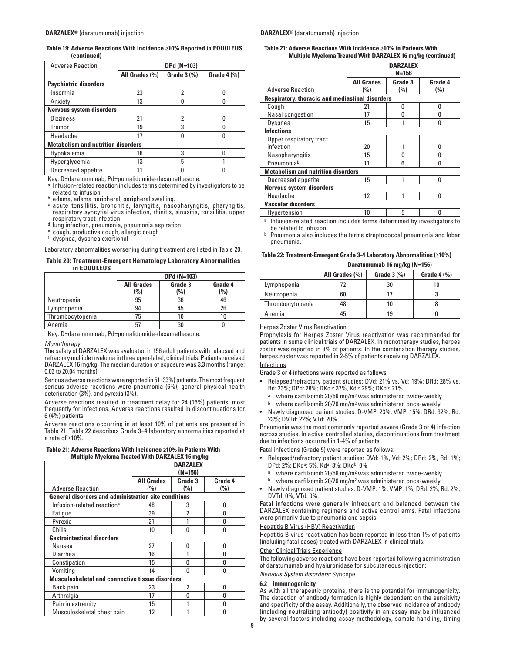## **Table 19: Adverse Reactions With Incidence ≥10% Reported in EQUULEUS (continued)**

| <b>Adverse Reaction</b>                   | DPd (N=103)                                                |   |  |  |  |
|-------------------------------------------|------------------------------------------------------------|---|--|--|--|
|                                           | Grade $3$ (%)<br>All Grades (%)<br>Grade $4$ $\frac{9}{6}$ |   |  |  |  |
| <b>Psychiatric disorders</b>              |                                                            |   |  |  |  |
| Insomnia                                  | 23                                                         | 2 |  |  |  |
| Anxiety                                   | 13                                                         |   |  |  |  |
|                                           | <b>Nervous system disorders</b>                            |   |  |  |  |
| <b>Dizziness</b>                          | 21                                                         | 2 |  |  |  |
| Tremor                                    | 19                                                         | 3 |  |  |  |
| Headache                                  | 17                                                         |   |  |  |  |
| <b>Metabolism and nutrition disorders</b> |                                                            |   |  |  |  |
| Hypokalemia                               | 16                                                         | 3 |  |  |  |
| Hyperglycemia                             | 13<br>5                                                    |   |  |  |  |
| Decreased appetite                        |                                                            |   |  |  |  |

Key: D=daratumumab, Pd=pomalidomide-dexamethasone.

a Infusion-related reaction includes terms determined by investigators to be

related to infusion<br>ʰ edema, edema peripheral, peripheral swelling.<br>¢ acute tonsillitis, bronchitis, laryngitis, nasopharyngitis, pharyngitis, respiratory syncytial virus infection, rhinitis, sinusitis, tonsillitis, upper respiratory tract infection<br>d lung infection, pneumonia, pneumonia aspiration<br>e cough, productive cough, allergic cough<br> $\frac{a}{t}$  dyspnea, dyspnea exertional

Laboratory abnormalities worsening during treatment are listed in Table 20.

#### **Table 20: Treatment-Emergent Hematology Laboratory Abnormalities in EQUULEUS**

|                  | <b>DPd (N=103)</b>       |                |                |  |
|------------------|--------------------------|----------------|----------------|--|
|                  | <b>All Grades</b><br>(%) | Grade 3<br>(%) | Grade 4<br>(%) |  |
| Neutropenia      | 95                       | 36             | 46             |  |
| Lymphopenia      | 94                       | 45             | 26             |  |
| Thrombocytopenia | 75                       | 10             |                |  |
| Anemia           | 57                       | 30             |                |  |

Key: D=daratumumab, Pd=pomalidomide-dexamethasone.

#### *Monotherapy*

The safety of DARZALEX was evaluated in 156 adult patients with relapsed and refractory multiple myeloma in three open-label, clinical trials. Patients received DARZALEX 16 mg/kg. The median duration of exposure was 3.3 months (range: 0.03 to 20.04 months).

Serious adverse reactions were reported in 51 (33%) patients. The most frequent serious adverse reactions were pneumonia (6%), general physical health deterioration (3%), and pyrexia (3%).

Adverse reactions resulted in treatment delay for 24 (15%) patients, most frequently for infections. Adverse reactions resulted in discontinuations for 6 (4%) patients.

Adverse reactions occurring in at least 10% of patients are presented in Table 21. Table 22 describes Grade 3–4 laboratory abnormalities reported at a rate of ≥10%.

| Table 21: Adverse Reactions With Incidence ≥10% in Patients With |
|------------------------------------------------------------------|
| <b>Multiple Myeloma Treated With DARZALEX 16 mg/kg</b>           |

|                                                             | <b>DARZALEX</b><br>$(N=156)$            |     |     |  |
|-------------------------------------------------------------|-----------------------------------------|-----|-----|--|
|                                                             | <b>All Grades</b><br>Grade 3<br>Grade 4 |     |     |  |
| <b>Adverse Reaction</b>                                     | (%)                                     | (%) | (%) |  |
| <b>General disorders and administration site conditions</b> |                                         |     |     |  |
| Infusion-related reaction <sup>a</sup>                      | 48                                      | 3   | O   |  |
| Fatique                                                     | 39                                      | 2   | n   |  |
| Pyrexia                                                     | 21                                      |     | N   |  |
| Chills                                                      | 10                                      | n   | n   |  |
| <b>Gastrointestinal disorders</b>                           |                                         |     |     |  |
| Nausea                                                      | 27                                      | N   | n   |  |
| Diarrhea                                                    | 16                                      |     | n   |  |
| Constipation                                                | 15                                      | n   | n   |  |
| Vomiting                                                    | 14                                      | N   | N   |  |
| <b>Musculoskeletal and connective tissue disorders</b>      |                                         |     |     |  |
| Back pain                                                   | 23                                      | 2   | U   |  |
| Arthralgia                                                  | 17                                      | n   | n   |  |
| Pain in extremity                                           | 15                                      |     | N   |  |
| Musculoskeletal chest pain                                  | 12                                      |     |     |  |

**Table 21: Adverse Reactions With Incidence ≥10% in Patients With Multiple Myeloma Treated With DARZALEX 16 mg/kg (continued)**

|                                                 | <b>DARZALEX</b><br>$N = 156$ |                    |     |  |  |  |
|-------------------------------------------------|------------------------------|--------------------|-----|--|--|--|
|                                                 | <b>All Grades</b>            | Grade 3<br>Grade 4 |     |  |  |  |
| <b>Adverse Reaction</b>                         | (%)                          | (%)                | (%) |  |  |  |
| Respiratory, thoracic and mediastinal disorders |                              |                    |     |  |  |  |
| Cough                                           | 21                           | 0                  | 0   |  |  |  |
| Nasal congestion                                | 17                           | n                  | O   |  |  |  |
| Dyspnea                                         | 15                           |                    | n   |  |  |  |
| <b>Infections</b>                               |                              |                    |     |  |  |  |
| Upper respiratory tract                         |                              |                    |     |  |  |  |
| infection                                       | 20                           |                    | n   |  |  |  |
| Nasopharyngitis                                 | 15                           | n                  | N   |  |  |  |
| Pneumoniab                                      | 11                           | 6                  | O   |  |  |  |
| <b>Metabolism and nutrition disorders</b>       |                              |                    |     |  |  |  |
| Decreased appetite                              | 15                           |                    | O   |  |  |  |
| <b>Nervous system disorders</b>                 |                              |                    |     |  |  |  |
| Headache                                        | 12                           |                    | O   |  |  |  |
| <b>Vascular disorders</b>                       |                              |                    |     |  |  |  |
| Hypertension                                    | 10                           | 5                  | O   |  |  |  |

a Infusion-related reaction includes terms determined by investigators to be related to infusion

**b** Pneumonia also includes the terms streptococcal pneumonia and lobar pneumonia.

## **Table 22: Treatment-Emergent Grade 3-4 Laboratory Abnormalities (≥10%)**

|                  | Daratumumab 16 mg/kg (N=156) |                         |                |
|------------------|------------------------------|-------------------------|----------------|
|                  | All Grades (%)               | Grade $3$ $\frac{9}{6}$ | Grade $4$ $\%$ |
| Lymphopenia      |                              | 30                      |                |
| Neutropenia      | 60                           |                         |                |
| Thrombocytopenia |                              | 10                      |                |
| Anemia           | 45                           | 19                      |                |

## Herpes Zoster Virus Reactivation

Prophylaxis for Herpes Zoster Virus reactivation was recommended for patients in some clinical trials of DARZALEX. In monotherapy studies, herpes zoster was reported in 3% of patients. In the combination therapy studies, herpes zoster was reported in 2-5% of patients receiving DARZALEX.

## Infections

Grade 3 or 4 infections were reported as follows:

- Relapsed/refractory patient studies: DVd: 21% vs. Vd: 19%; DRd: 28% vs.
- Rd: 23%; DPd: 28%; DKdª: 37%, Kdª: 29%; DKd<sup>b</sup>: 21%<br><sup>a</sup> where carfilzomib 20/56 mg/m<sup>2</sup> was administered twice-weekly
- where carfilzomib 20/70 mg/m<sup>2</sup> was administered once-weekly
- Newly diagnosed patient studies: D-VMP: 23%, VMP: 15%; DRd: 32%, Rd: 23%; DVTd: 22%; VTd: 20%.

Pneumonia was the most commonly reported severe (Grade 3 or 4) infection across studies. In active controlled studies, discontinuations from treatment due to infections occurred in 1-4% of patients.

Fatal infections (Grade 5) were reported as follows:

- Relapsed/refractory patient studies: DVd: 1%, Vd: 2%; DRd: 2%, Rd: 1%; DPd: 2%; DKda: 5%, Kda: 3%; DKdb: 0%
	- a where carfilzomib 20/56 mg/m<sup>2</sup> was administered twice-weekly
	- b where carfilzomib 20/70 mg/m<sup>2</sup> was administered once-weekly
- Newly diagnosed patient studies: D-VMP: 1%, VMP: 1%; DRd: 2%, Rd: 2%; DVTd: 0%, VTd: 0%.

Fatal infections were generally infrequent and balanced between the DARZALEX containing regimens and active control arms. Fatal infections were primarily due to pneumonia and sepsis.

#### Hepatitis B Virus (HBV) Reactivation

Hepatitis B virus reactivation has been reported in less than 1% of patients (including fatal cases) treated with DARZALEX in clinical trials.

#### Other Clinical Trials Experience

The following adverse reactions have been reported following administration of daratumumab and hyaluronidase for subcutaneous injection:

*Nervous System disorders:* Syncope

#### **6.2 Immunogenicity**

As with all therapeutic proteins, there is the potential for immunogenicity. The detection of antibody formation is highly dependent on the sensitivity and specificity of the assay. Additionally, the observed incidence of antibody (including neutralizing antibody) positivity in an assay may be influenced by several factors including assay methodology, sample handling, timing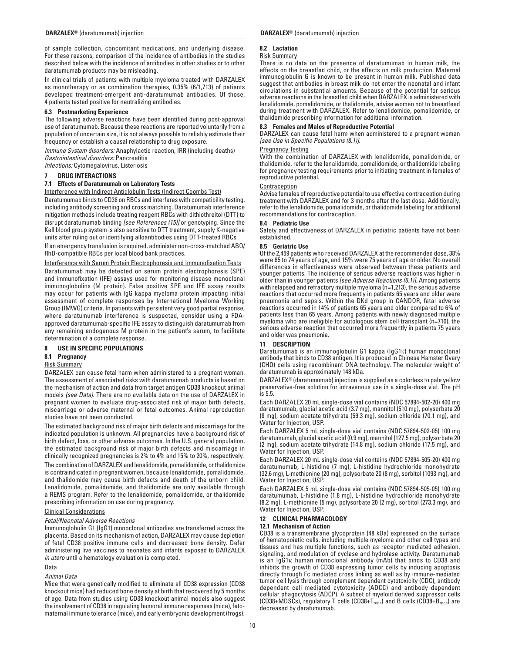of sample collection, concomitant medications, and underlying disease. For these reasons, comparison of the incidence of antibodies in the studies described below with the incidence of antibodies in other studies or to other daratumumab products may be misleading.

In clinical trials of patients with multiple myeloma treated with DARZALEX as monotherapy or as combination therapies, 0.35% (6/1,713) of patients developed treatment-emergent anti-daratumumab antibodies. Of those, 4 patients tested positive for neutralizing antibodies.

## **6.3 Postmarketing Experience**

The following adverse reactions have been identified during post-approval use of daratumumab. Because these reactions are reported voluntarily from a population of uncertain size, it is not always possible to reliably estimate their frequency or establish a causal relationship to drug exposure.

*Immune System disorders:* Anaphylactic reaction, IRR (including deaths) *Gastrointestinal disorders:* Pancreatitis

*Infections:* Cytomegalovirus, Listeriosis

## **7 DRUG INTERACTIONS**

## **7.1 Effects of Daratumumab on Laboratory Tests**

Interference with Indirect Antiglobulin Tests (Indirect Coombs Test)

Daratumumab binds to CD38 on RBCs and interferes with compatibility testing, including antibody screening and cross matching. Daratumumab interference mitigation methods include treating reagent RBCs with dithiothreitol (DTT) to disrupt daratumumab binding *[see References (15)]* or genotyping. Since the Kell blood group system is also sensitive to DTT treatment, supply K-negative units after ruling out or identifying alloantibodies using DTT-treated RBCs.

If an emergency transfusion is required, administer non-cross-matched ABO/ RhD-compatible RBCs per local blood bank practices.

Interference with Serum Protein Electrophoresis and Immunofixation Tests

Daratumumab may be detected on serum protein electrophoresis (SPE) and immunofixation (IFE) assays used for monitoring disease monoclonal immunoglobulins (M protein). False positive SPE and IFE assay results may occur for patients with IgG kappa myeloma protein impacting initial assessment of complete responses by International Myeloma Working Group (IMWG) criteria. In patients with persistent very good partial response, where daratumumab interference is suspected, consider using a FDAapproved daratumumab-specific IFE assay to distinguish daratumumab from any remaining endogenous M protein in the patient's serum, to facilitate determination of a complete response.

## **8 USE IN SPECIFIC POPULATIONS**

## **8.1 Pregnancy**

## Risk Summary

DARZALEX can cause fetal harm when administered to a pregnant woman. The assessment of associated risks with daratumumab products is based on the mechanism of action and data from target antigen CD38 knockout animal models *(see Data)*. There are no available data on the use of DARZALEX in pregnant women to evaluate drug-associated risk of major birth defects, miscarriage or adverse maternal or fetal outcomes. Animal reproduction studies have not been conducted.

The estimated background risk of major birth defects and miscarriage for the indicated population is unknown. All pregnancies have a background risk of birth defect, loss, or other adverse outcomes. In the U.S. general population, the estimated background risk of major birth defects and miscarriage in clinically recognized pregnancies is 2% to 4% and 15% to 20%, respectively.

The combination of DARZALEX and lenalidomide, pomalidomide, or thalidomide is contraindicated in pregnant women, because lenalidomide, pomalidomide, and thalidomide may cause birth defects and death of the unborn child. Lenalidomide, pomalidomide, and thalidomide are only available through a REMS program. Refer to the lenalidomide, pomalidomide, or thalidomide prescribing information on use during pregnancy.

## Clinical Considerations

## *Fetal/Neonatal Adverse Reactions*

Immunoglobulin G1 (IgG1) monoclonal antibodies are transferred across the placenta. Based on its mechanism of action, DARZALEX may cause depletion of fetal CD38 positive immune cells and decreased bone density. Defer administering live vaccines to neonates and infants exposed to DARZALEX *in utero* until a hematology evaluation is completed.

## **Data**

## *Animal Data*

Mice that were genetically modified to eliminate all CD38 expression (CD38 knockout mice) had reduced bone density at birth that recovered by 5 months of age. Data from studies using CD38 knockout animal models also suggest the involvement of CD38 in regulating humoral immune responses (mice), fetomaternal immune tolerance (mice), and early embryonic development (frogs).

## **8.2 Lactation**

#### Risk Summary

There is no data on the presence of daratumumab in human milk, the effects on the breastfed child, or the effects on milk production. Maternal immunoglobulin G is known to be present in human milk. Published data suggest that antibodies in breast milk do not enter the neonatal and infant circulations in substantial amounts. Because of the potential for serious adverse reactions in the breastfed child when DARZALEX is administered with lenalidomide, pomalidomide, or thalidomide, advise women not to breastfeed during treatment with DARZALEX. Refer to lenalidomide, pomalidomide, or thalidomide prescribing information for additional information.

## **8.3 Females and Males of Reproductive Potential**

DARZALEX can cause fetal harm when administered to a pregnant woman *[see Use in Specific Populations (8.1)]*.

## Pregnancy Testing

With the combination of DARZALEX with lenalidomide, pomalidomide, or thalidomide, refer to the lenalidomide, pomalidomide, or thalidomide labeling for pregnancy testing requirements prior to initiating treatment in females of reproductive potential.

## **Contraception**

Advise females of reproductive potential to use effective contraception during treatment with DARZALEX and for 3 months after the last dose. Additionally, refer to the lenalidomide, pomalidomide, or thalidomide labeling for additional recommendations for contraception.

### **8.4 Pediatric Use**

Safety and effectiveness of DARZALEX in pediatric patients have not been established.

### **8.5 Geriatric Use**

Of the 2,459 patients who received DARZALEX at the recommended dose, 38% were 65 to 74 years of age, and 15% were 75 years of age or older. No overall differences in effectiveness were observed between these patients and younger patients. The incidence of serious adverse reactions was higher in older than in younger patients *[see Adverse Reactions (6.1)]*. Among patients with relapsed and refractory multiple myeloma (n=1,213), the serious adverse reactions that occurred more frequently in patients 65 years and older were pneumonia and sepsis. Within the DKd group in CANDOR, fatal adverse reactions occurred in 14% of patients 65 years and older compared to 6% of patients less than 65 years. Among patients with newly diagnosed multiple myeloma who are ineligible for autologous stem cell transplant (n=710), the serious adverse reaction that occurred more frequently in patients 75 years and older was pneumonia.

## **11 DESCRIPTION**

Daratumumab is an immunoglobulin G1 kappa (IgG1κ) human monoclonal antibody that binds to CD38 antigen. It is produced in Chinese Hamster Ovary (CHO) cells using recombinant DNA technology. The molecular weight of daratumumab is approximately 148 kDa.

DARZALEX® (daratumumab) injection is supplied as a colorless to pale yellow preservative-free solution for intravenous use in a single-dose vial. The pH is 5.5.

Each DARZALEX 20 mL single-dose vial contains (NDC 57894-502-20) 400 mg daratumumab, glacial acetic acid (3.7 mg), mannitol (510 mg), polysorbate 20 (8 mg), sodium acetate trihydrate (59.3 mg), sodium chloride (70.1 mg), and Water for Injection, USP.

Each DARZALEX 5 mL single-dose vial contains (NDC 57894-502-05) 100 mg daratumumab, glacial acetic acid (0.9 mg), mannitol (127.5 mg), polysorbate 20 (2 mg), sodium acetate trihydrate (14.8 mg), sodium chloride (17.5 mg), and Water for Injection, USP.

Each DARZALEX 20 mL single-dose vial contains (NDC 57894-505-20) 400 mg daratumumab, L-histidine (7 mg), L-histidine hydrochloride monohydrate (32.6 mg), L-methionine (20 mg), polysorbate 20 (8 mg), sorbitol (1093 mg), and Water for Injection, USP.

Each DARZALEX 5 mL single-dose vial contains (NDC 57894-505-05) 100 mg daratumumab, L-histidine (1.8 mg), L-histidine hydrochloride monohydrate (8.2 mg), L-methionine (5 mg), polysorbate 20 (2 mg), sorbitol (273.3 mg), and Water for Injection, USP.

## **12 CLINICAL PHARMACOLOGY**

## **12.1 Mechanism of Action**

CD38 is a transmembrane glycoprotein (48 kDa) expressed on the surface of hematopoietic cells, including multiple myeloma and other cell types and tissues and has multiple functions, such as receptor mediated adhesion, signaling, and modulation of cyclase and hydrolase activity. Daratumumab is an IgG1κ human monoclonal antibody (mAb) that binds to CD38 and inhibits the growth of CD38 expressing tumor cells by inducing apoptosis directly through Fc mediated cross linking as well as by immune-mediated tumor cell lysis through complement dependent cytotoxicity (CDC), antibody dependent cell mediated cytotoxicity (ADCC) and antibody dependent cellular phagocytosis (ADCP). A subset of myeloid derived suppressor cells (CD38+MDSCs), regulatory T cells (CD38+ $T_{\text{regs}}$ ) and B cells (CD38+ $B_{\text{regs}}$ ) are decreased by daratumumab.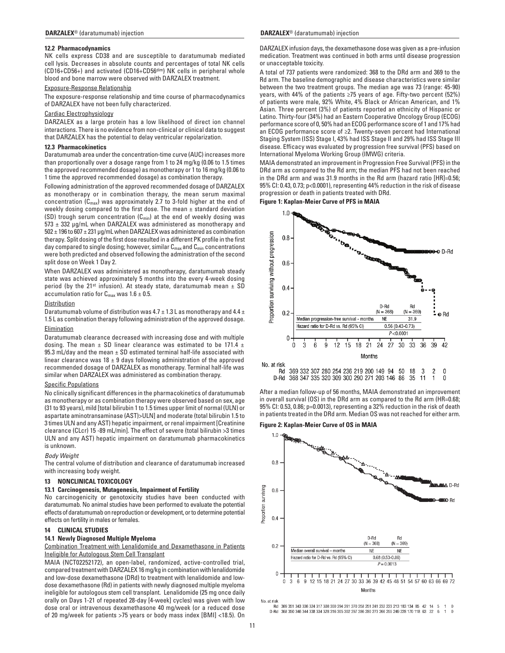## **12.2 Pharmacodynamics**

NK cells express CD38 and are susceptible to daratumumab mediated cell lysis. Decreases in absolute counts and percentages of total NK cells (CD16+CD56+) and activated (CD16+CD56dim) NK cells in peripheral whole blood and bone marrow were observed with DARZALEX treatment.

## Exposure-Response Relationship

The exposure-response relationship and time course of pharmacodynamics of DARZALEX have not been fully characterized.

## Cardiac Electrophysiology

DARZALEX as a large protein has a low likelihood of direct ion channel interactions. There is no evidence from non-clinical or clinical data to suggest that DARZALEX has the potential to delay ventricular repolarization.

#### **12.3 Pharmacokinetics**

Daratumumab area under the concentration-time curve (AUC) increases more than proportionally over a dosage range from 1 to 24 mg/kg (0.06 to 1.5 times the approved recommended dosage) as monotherapy or 1 to 16 mg/kg (0.06 to 1 time the approved recommended dosage) as combination therapy.

Following administration of the approved recommended dosage of DARZALEX as monotherapy or in combination therapy, the mean serum maximal concentration  $(C_{\text{max}})$  was approximately 2.7 to 3-fold higher at the end of weekly dosing compared to the first dose. The mean  $\pm$  standard deviation (SD) trough serum concentration  $(C_{min})$  at the end of weekly dosing was  $573 \pm 332$  µg/mL when DARZALEX was administered as monotherapy and 502 ± 196 to 607 ± 231 µg/mL when DARZALEX was administered as combination therapy. Split dosing of the first dose resulted in a different PK profile in the first day compared to single dosing; however, similar  $C_{\text{max}}$  and  $C_{\text{min}}$  concentrations were both predicted and observed following the administration of the second split dose on Week 1 Day 2.

When DARZALEX was administered as monotherapy, daratumumab steady state was achieved approximately 5 months into the every 4-week dosing period (by the 21<sup>st</sup> infusion). At steady state, daratumumab mean  $\pm$  SD accumulation ratio for  $C_{\text{max}}$  was 1.6  $\pm$  0.5.

## **Distribution**

Daratumumab volume of distribution was  $4.7 \pm 1.3$  L as monotherapy and  $4.4 \pm$ 1.5 L as combination therapy following administration of the approved dosage.

#### Elimination

Daratumumab clearance decreased with increasing dose and with multiple dosing. The mean  $\pm$  SD linear clearance was estimated to be 171.4  $\pm$ 95.3 mL/day and the mean  $\pm$  SD estimated terminal half-life associated with linear clearance was  $18 \pm 9$  days following administration of the approved recommended dosage of DARZALEX as monotherapy. Terminal half-life was similar when DARZALEX was administered as combination therapy.

## Specific Populations

No clinically significant differences in the pharmacokinetics of daratumumab as monotherapy or as combination therapy were observed based on sex, age (31 to 93 years), mild [total bilirubin 1 to 1.5 times upper limit of normal (ULN) or aspartate aminotransaminase (AST)>ULN] and moderate (total bilirubin 1.5 to 3 times ULN and any AST) hepatic impairment, or renal impairment [Creatinine clearance (CLcr) 15 -89 mL/min]. The effect of severe (total bilirubin >3 times ULN and any AST) hepatic impairment on daratumumab pharmacokinetics is unknown.

#### *Body Weight*

The central volume of distribution and clearance of daratumumab increased with increasing body weight.

## **13 NONCLINICAL TOXICOLOGY**

## **13.1 Carcinogenesis, Mutagenesis, Impairment of Fertility**

No carcinogenicity or genotoxicity studies have been conducted with daratumumab. No animal studies have been performed to evaluate the potential effects of daratumumab on reproduction or development, or to determine potential effects on fertility in males or females.

## **14 CLINICAL STUDIES**

## **14.1 Newly Diagnosed Multiple Myeloma**

Combination Treatment with Lenalidomide and Dexamethasone in Patients Ineligible for Autologous Stem Cell Transplant

MAIA (NCT02252172), an open-label, randomized, active-controlled trial, compared treatment with DARZALEX 16 mg/kg in combination with lenalidomide and low-dose dexamethasone (DRd) to treatment with lenalidomide and lowdose dexamethasone (Rd) in patients with newly diagnosed multiple myeloma ineligible for autologous stem cell transplant. Lenalidomide (25 mg once daily orally on Days 1-21 of repeated 28-day [4-week] cycles) was given with low dose oral or intravenous dexamethasone 40 mg/week (or a reduced dose of 20 mg/week for patients >75 years or body mass index [BMI] <18.5). On

DARZALEX infusion days, the dexamethasone dose was given as a pre-infusion medication. Treatment was continued in both arms until disease progression or unacceptable toxicity.

A total of 737 patients were randomized: 368 to the DRd arm and 369 to the Rd arm. The baseline demographic and disease characteristics were similar between the two treatment groups. The median age was 73 (range: 45-90) years, with 44% of the patients ≥75 years of age. Fifty-two percent (52%) of patients were male, 92% White, 4% Black or African American, and 1% Asian. Three percent (3%) of patients reported an ethnicity of Hispanic or Latino. Thirty-four (34%) had an Eastern Cooperative Oncology Group (ECOG) performance score of 0, 50% had an ECOG performance score of 1 and 17% had an ECOG performance score of ≥2. Twenty-seven percent had International Staging System (ISS) Stage I, 43% had ISS Stage II and 29% had ISS Stage III disease. Efficacy was evaluated by progression free survival (PFS) based on International Myeloma Working Group (IMWG) criteria.

MAIA demonstrated an improvement in Progression Free Survival (PFS) in the DRd arm as compared to the Rd arm; the median PFS had not been reached in the DRd arm and was 31.9 months in the Rd arm (hazard ratio [HR]=0.56; 95% CI: 0.43, 0.73; p<0.0001), representing 44% reduction in the risk of disease progression or death in patients treated with DRd.

#### **Figure 1: Kaplan-Meier Curve of PFS in MAIA**



369 332 307 280 254 236 219 200 149 94 50 Rd 18  $\mathcal{S}$ 2  $\Omega$ 368 347 335 320 309 300 290 271 203 146 86 35 11 D-Rd  $\mathbf{1}$  $\mathbf{0}$ 

After a median follow-up of 56 months, MAIA demonstrated an improvement in overall survival (OS) in the DRd arm as compared to the Rd arm (HR=0.68; 95% CI: 0.53, 0.86; p=0.0013), representing a 32% reduction in the risk of death in patients treated in the DRd arm. Median OS was not reached for either arm.

**Figure 2: Kaplan-Meier Curve of OS in MAIA**



No. at risk

Rd 369 351 343 336 324 317 308 300 294 281 270 258 251 241 232 223 213 183 134 85 42 14 D-Rd 368 350 346 344 338 334 328 316 305 302 297 286 280 273 266 255 249 228 170 118 63 22 6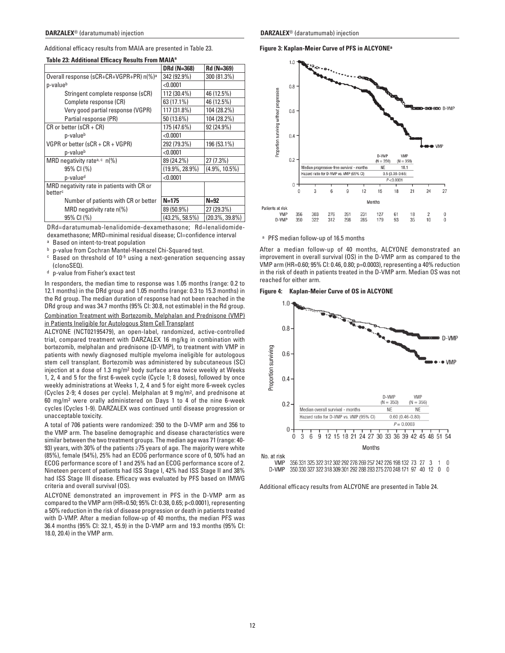Additional efficacy results from MAIA are presented in Table 23.

|                                                     | DRd (N=368)        | Rd (N=369)         |
|-----------------------------------------------------|--------------------|--------------------|
| Overall response (sCR+CR+VGPR+PR) n(%) <sup>a</sup> | 342 (92.9%)        | 300 (81.3%)        |
| p-valueb                                            | < 0.0001           |                    |
| Stringent complete response (sCR)                   | 112 (30.4%)        | 46 (12.5%)         |
| Complete response (CR)                              | 63 (17.1%)         | 46 (12.5%)         |
| Very good partial response (VGPR)                   | 117 (31.8%)        | 104 (28.2%)        |
| Partial response (PR)                               | 50 (13.6%)         | 104 (28.2%)        |
| $CR$ or better (sCR + CR)                           | 175 (47.6%)        | 92 (24.9%)         |
| p-valueb                                            | < 0.0001           |                    |
| VGPR or better (sCR + CR + VGPR)                    | 292 (79.3%)        | 196 (53.1%)        |
| p-valueb                                            | < 0.0001           |                    |
| MRD negativity rate <sup>a, c</sup> $n\frac{1}{6}$  | 89 (24.2%)         | 27 (7.3%)          |
| 95% CI (%)                                          | $(19.9\%, 28.9\%)$ | $(4.9\%, 10.5\%)$  |
| p-value <sup>d</sup>                                | < 0.0001           |                    |
| MRD negativity rate in patients with CR or          |                    |                    |
| betterc                                             |                    |                    |
| Number of patients with CR or better                | $N = 175$          | $N=92$             |
| MRD negativity rate n(%)                            | 89 (50.9%)         | 27 (29.3%)         |
| 95% CI (%)                                          | $(43.2\%, 58.5\%)$ | $(20.3\%, 39.8\%)$ |

## **Table 23: Additional Efficacy Results From MAIA<sup>a</sup>**

DRd=daratumumab-lenalidomide-dexamethasone; Rd=lenalidomidedexamethasone; MRD=minimal residual disease; CI=confidence interval

- <sup>a</sup> Based on intent-to-treat population
- <sup>b</sup> p-value from Cochran Mantel-Haenszel Chi-Squared test.
- c Based on threshold of 10-5 using a next-generation sequencing assay (clonoSEQ).
- <sup>d</sup> p-value from Fisher's exact test

In responders, the median time to response was 1.05 months (range: 0.2 to 12.1 months) in the DRd group and 1.05 months (range: 0.3 to 15.3 months) in the Rd group. The median duration of response had not been reached in the DRd group and was 34.7 months (95% CI: 30.8, not estimable) in the Rd group.

## Combination Treatment with Bortezomib, Melphalan and Prednisone (VMP) in Patients Ineligible for Autologous Stem Cell Transplant

ALCYONE (NCT02195479), an open-label, randomized, active-controlled trial, compared treatment with DARZALEX 16 mg/kg in combination with bortezomib, melphalan and prednisone (D-VMP), to treatment with VMP in patients with newly diagnosed multiple myeloma ineligible for autologous stem cell transplant. Bortezomib was administered by subcutaneous (SC) injection at a dose of 1.3 mg/m2 body surface area twice weekly at Weeks 1, 2, 4 and 5 for the first 6-week cycle (Cycle 1; 8 doses), followed by once weekly administrations at Weeks 1, 2, 4 and 5 for eight more 6-week cycles (Cycles 2-9; 4 doses per cycle). Melphalan at 9 mg/m2, and prednisone at 60 mg/m2 were orally administered on Days 1 to 4 of the nine 6-week cycles (Cycles 1-9). DARZALEX was continued until disease progression or unacceptable toxicity.

A total of 706 patients were randomized: 350 to the D-VMP arm and 356 to the VMP arm. The baseline demographic and disease characteristics were similar between the two treatment groups. The median age was 71 (range: 40- 93) years, with 30% of the patients ≥75 years of age. The majority were white (85%), female (54%), 25% had an ECOG performance score of 0, 50% had an ECOG performance score of 1 and 25% had an ECOG performance score of 2. Nineteen percent of patients had ISS Stage I, 42% had ISS Stage II and 38% had ISS Stage III disease. Efficacy was evaluated by PFS based on IMWG criteria and overall survival (OS).

ALCYONE demonstrated an improvement in PFS in the D-VMP arm as compared to the VMP arm (HR=0.50; 95% CI: 0.38, 0.65; p<0.0001), representing a 50% reduction in the risk of disease progression or death in patients treated with D-VMP. After a median follow-up of 40 months, the median PFS was 36.4 months (95% CI: 32.1, 45.9) in the D-VMP arm and 19.3 months (95% CI: 18.0, 20.4) in the VMP arm.

**Figure 3: Kaplan-Meier Curve of PFS in ALCYONEa**



## <sup>a</sup> PFS median follow-up of 16.5 months

After a median follow-up of 40 months, ALCYONE demonstrated an improvement in overall survival (OS) in the D-VMP arm as compared to the VMP arm (HR=0.60; 95% CI: 0.46, 0.80; p=0.0003), representing a 40% reduction in the risk of death in patients treated in the D-VMP arm. Median OS was not reached for either arm.

## **Figure 4: Kaplan-Meier Curve of OS in ALCYONE**



D-VMP 350 330 327 322 318 309 301 292 288 283 275 270 248 171 97 40 12 0 0

Additional efficacy results from ALCYONE are presented in Table 24.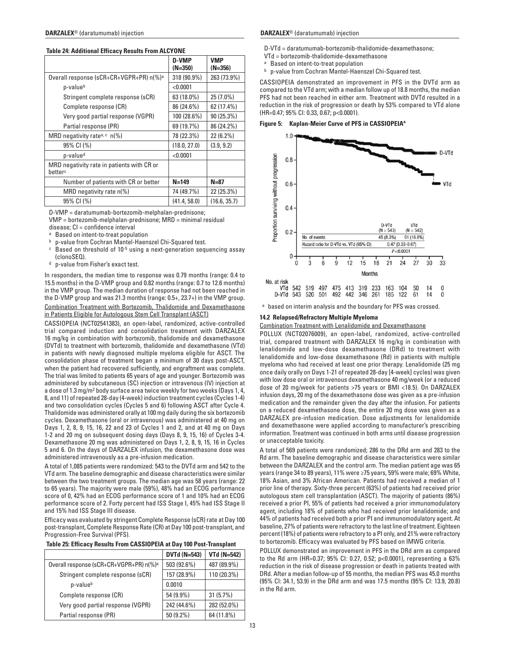| <b>Table 24: Additional Efficacy Results From ALCYONE</b> |  |  |  |  |
|-----------------------------------------------------------|--|--|--|--|
|-----------------------------------------------------------|--|--|--|--|

|                                                                   | D-VMP<br>$(N=350)$ | VMP<br>$(N=356)$ |
|-------------------------------------------------------------------|--------------------|------------------|
| Overall response (sCR+CR+VGPR+PR) n(%) <sup>a</sup>               | 318 (90.9%)        | 263 (73.9%)      |
| p-valueb                                                          | < 0.0001           |                  |
| Stringent complete response (sCR)                                 | 63 (18.0%)         | 25 (7.0%)        |
| Complete response (CR)                                            | 86 (24.6%)         | 62 (17.4%)       |
| Very good partial response (VGPR)                                 | 100 (28.6%)        | 90 (25.3%)       |
| Partial response (PR)                                             | 69 (19.7%)         | 86 (24.2%)       |
| MRD negativity rate <sup>a, c</sup> n(%)                          | 78 (22.3%)         | 22 (6.2%)        |
| 95% CI (%)                                                        | (18.0, 27.0)       | (3.9, 9.2)       |
| p-value <sup>d</sup>                                              | < 0.0001           |                  |
| MRD negativity rate in patients with CR or<br>better <sup>c</sup> |                    |                  |
| Number of patients with CR or better                              | $N = 149$          | $N=87$           |
| MRD negativity rate $n\frac{9}{6}$                                | 74 (49.7%)         | 22 (25.3%)       |
| 95% CI (%)                                                        | (41.4, 58.0)       | (16.6, 35.7)     |

D-VMP = daratumumab-bortezomib-melphalan-prednisone; VMP = bortezomib-melphalan-prednisone; MRD = minimal residual

- disease;  $CI =$  confidence interval<br><sup>a</sup> Based on intent-to-treat population
- **b** p-value from Cochran Mantel-Haenszel Chi-Squared test.
- c Based on threshold of 10-5 using a next-generation sequencing assay (clonoSEQ).
- <sup>d</sup> p-value from Fisher's exact test.

In responders, the median time to response was 0.79 months (range: 0.4 to 15.5 months) in the D-VMP group and 0.82 months (range: 0.7 to 12.6 months) in the VMP group. The median duration of response had not been reached in the D-VMP group and was 21.3 months (range: 0.5+, 23.7+) in the VMP group. Combination Treatment with Bortezomib, Thalidomide and Dexamethasone in Patients Eligible for Autologous Stem Cell Transplant (ASCT)

CASSIOPEIA (NCT02541383), an open-label, randomized, active-controlled trial compared induction and consolidation treatment with DARZALEX 16 mg/kg in combination with bortezomib, thalidomide and dexamethasone (DVTd) to treatment with bortezomib, thalidomide and dexamethasone (VTd) in patients with newly diagnosed multiple myeloma eligible for ASCT. The consolidation phase of treatment began a minimum of 30 days post-ASCT, when the patient had recovered sufficiently, and engraftment was complete. The trial was limited to patients 65 years of age and younger. Bortezomib was administered by subcutaneous (SC) injection or intravenous (IV) injection at a dose of 1.3 mg/m2 body surface area twice weekly for two weeks (Days 1, 4, 8, and 11) of repeated 28-day (4-week) induction treatment cycles (Cycles 1-4) and two consolidation cycles (Cycles 5 and 6) following ASCT after Cycle 4. Thalidomide was administered orally at 100 mg daily during the six bortezomib cycles. Dexamethasone (oral or intravenous) was administered at 40 mg on Days 1, 2, 8, 9, 15, 16, 22 and 23 of Cycles 1 and 2, and at 40 mg on Days 1-2 and 20 mg on subsequent dosing days (Days 8, 9, 15, 16) of Cycles 3-4. Dexamethasone 20 mg was administered on Days 1, 2, 8, 9, 15, 16 in Cycles 5 and 6. On the days of DARZALEX infusion, the dexamethasone dose was administered intravenously as a pre-infusion medication.

A total of 1,085 patients were randomized: 543 to the DVTd arm and 542 to the VTd arm. The baseline demographic and disease characteristics were similar between the two treatment groups. The median age was 58 years (range: 22 to 65 years). The majority were male (59%), 48% had an ECOG performance score of 0, 42% had an ECOG performance score of 1 and 10% had an ECOG performance score of 2. Forty percent had ISS Stage I, 45% had ISS Stage II and 15% had ISS Stage III disease.

Efficacy was evaluated by stringent Complete Response (sCR) rate at Day 100 post-transplant, Complete Response Rate (CR) at Day 100 post-transplant, and Progression-Free Survival (PFS).

|                                                     | <b>DVTd (N=543)</b> | <b>VTd (N=542)</b> |
|-----------------------------------------------------|---------------------|--------------------|
| Overall response (sCR+CR+VGPR+PR) n(%) <sup>a</sup> | 503 (92.6%)         | 487 (89.9%)        |
| Stringent complete response (sCR)                   | 157 (28.9%)         | 110 (20.3%)        |
| p-valueb                                            | 0.0010              |                    |
| Complete response (CR)                              | 54 (9.9%)           | 31(5.7%)           |
| Very good partial response (VGPR)                   | 242 (44.6%)         | 282 (52.0%)        |
| Partial response (PR)                               | $50(9.2\%)$         | 64 (11.8%)         |

#### **DARZALEX**® (daratumumab) injection **DARZALEX**® (daratumumab) injection

D-VTd = daratumumab-bortezomib-thalidomide-dexamethasone;

- $V T d = b$  ortezomib-thalidomide-dexamethasone<br>a Based on intent-to-treat population
- 
- **b** p-value from Cochran Mantel-Haenszel Chi-Squared test.

CASSIOPEIA demonstrated an improvement in PFS in the DVTd arm as compared to the VTd arm; with a median follow up of 18.8 months, the median PFS had not been reached in either arm. Treatment with DVTd resulted in a reduction in the risk of progression or death by 53% compared to VTd alone (HR=0.47; 95% CI: 0.33, 0.67; p<0.0001).

**Figure 5: Kaplan-Meier Curve of PFS in CASSIOPEIAa**



<sup>a</sup> based on interim analysis and the boundary for PFS was crossed.

## **14.2 Relapsed/Refractory Multiple Myeloma**

Combination Treatment with Lenalidomide and Dexamethasone

POLLUX (NCT02076009), an open-label, randomized, active-controlled trial, compared treatment with DARZALEX 16 mg/kg in combination with lenalidomide and low-dose dexamethasone (DRd) to treatment with lenalidomide and low-dose dexamethasone (Rd) in patients with multiple myeloma who had received at least one prior therapy. Lenalidomide (25 mg once daily orally on Days 1-21 of repeated 28-day [4-week] cycles) was given with low dose oral or intravenous dexamethasone 40 mg/week (or a reduced dose of 20 mg/week for patients >75 years or BMI <18.5). On DARZALEX infusion days, 20 mg of the dexamethasone dose was given as a pre-infusion medication and the remainder given the day after the infusion. For patients on a reduced dexamethasone dose, the entire 20 mg dose was given as a DARZALEX pre-infusion medication. Dose adjustments for lenalidomide and dexamethasone were applied according to manufacturer's prescribing information. Treatment was continued in both arms until disease progression or unacceptable toxicity.

A total of 569 patients were randomized; 286 to the DRd arm and 283 to the Rd arm. The baseline demographic and disease characteristics were similar between the DARZALEX and the control arm. The median patient age was 65 years (range 34 to 89 years), 11% were ≥75 years, 59% were male; 69% White, 18% Asian, and 3% African American. Patients had received a median of 1 prior line of therapy. Sixty-three percent (63%) of patients had received prior autologous stem cell transplantation (ASCT). The majority of patients (86%) received a prior PI, 55% of patients had received a prior immunomodulatory agent, including 18% of patients who had received prior lenalidomide; and 44% of patients had received both a prior PI and immunomodulatory agent. At baseline, 27% of patients were refractory to the last line of treatment. Eighteen percent (18%) of patients were refractory to a PI only, and 21% were refractory to bortezomib. Efficacy was evaluated by PFS based on IMWG criteria.

POLLUX demonstrated an improvement in PFS in the DRd arm as compared to the Rd arm (HR=0.37; 95% CI: 0.27, 0.52; p<0.0001), representing a 63% reduction in the risk of disease progression or death in patients treated with DRd. After a median follow-up of 55 months, the median PFS was 45.0 months (95% CI: 34.1, 53.9) in the DRd arm and was 17.5 months (95% CI: 13.9, 20.8) in the Rd arm.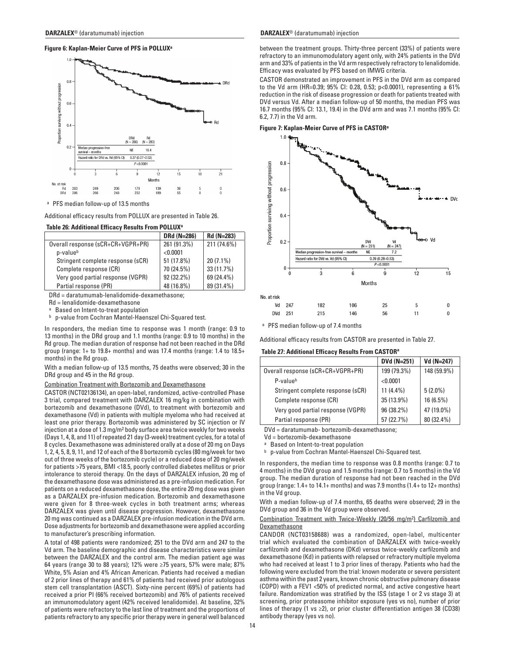## **Figure 6: Kaplan-Meier Curve of PFS in POLLUXa**



<sup>a</sup> PFS median follow-up of 13.5 months

Additional efficacy results from POLLUX are presented in Table 26.

#### **Table 26: Additional Efficacy Results From POLLUXa**

|                                   | DRd (N=286) | Rd (N=283)  |
|-----------------------------------|-------------|-------------|
| Overall response (sCR+CR+VGPR+PR) | 261 (91.3%) | 211 (74.6%) |
| p-valueb                          | < 0.0001    |             |
| Stringent complete response (sCR) | 51 (17.8%)  | $20(7.1\%)$ |
| Complete response (CR)            | 70 (24.5%)  | 33 (11.7%)  |
| Very good partial response (VGPR) | 92 (32.2%)  | 69 (24.4%)  |
| Partial response (PR)             | 48 (16.8%)  | 89 (31.4%)  |

DRd = daratumumab-lenalidomide-dexamethasone;

Rd = lenalidomide-dexamethasone

<sup>a</sup> Based on Intent-to-treat population

<sup>b</sup> p-value from Cochran Mantel-Haenszel Chi-Squared test.

In responders, the median time to response was 1 month (range: 0.9 to 13 months) in the DRd group and 1.1 months (range: 0.9 to 10 months) in the Rd group. The median duration of response had not been reached in the DRd group (range: 1+ to 19.8+ months) and was 17.4 months (range: 1.4 to 18.5+ months) in the Rd group.

With a median follow-up of 13.5 months, 75 deaths were observed; 30 in the DRd group and 45 in the Rd group.

## Combination Treatment with Bortezomib and Dexamethasone

CASTOR (NCT02136134), an open-label, randomized, active-controlled Phase 3 trial, compared treatment with DARZALEX 16 mg/kg in combination with bortezomib and dexamethasone (DVd), to treatment with bortezomib and dexamethasone (Vd) in patients with multiple myeloma who had received at least one prior therapy. Bortezomib was administered by SC injection or IV injection at a dose of 1.3 mg/m2 body surface area twice weekly for two weeks (Days 1, 4, 8, and 11) of repeated 21 day (3-week) treatment cycles, for a total of 8 cycles. Dexamethasone was administered orally at a dose of 20 mg on Days 1, 2, 4, 5, 8, 9, 11, and 12 of each of the 8 bortezomib cycles (80 mg/week for two out of three weeks of the bortezomib cycle) or a reduced dose of 20 mg/week for patients >75 years, BMI <18.5, poorly controlled diabetes mellitus or prior intolerance to steroid therapy. On the days of DARZALEX infusion, 20 mg of the dexamethasone dose was administered as a pre-infusion medication. For patients on a reduced dexamethasone dose, the entire 20 mg dose was given as a DARZALEX pre-infusion medication. Bortezomib and dexamethasone were given for 8 three-week cycles in both treatment arms; whereas DARZALEX was given until disease progression. However, dexamethasone 20 mg was continued as a DARZALEX pre-infusion medication in the DVd arm. Dose adjustments for bortezomib and dexamethasone were applied according to manufacturer's prescribing information.

A total of 498 patients were randomized; 251 to the DVd arm and 247 to the Vd arm. The baseline demographic and disease characteristics were similar between the DARZALEX and the control arm. The median patient age was 64 years (range 30 to 88 years); 12% were ≥75 years, 57% were male; 87% White, 5% Asian and 4% African American. Patients had received a median of 2 prior lines of therapy and 61% of patients had received prior autologous stem cell transplantation (ASCT). Sixty-nine percent (69%) of patients had received a prior PI (66% received bortezomib) and 76% of patients received an immunomodulatory agent (42% received lenalidomide). At baseline, 32% of patients were refractory to the last line of treatment and the proportions of patients refractory to any specific prior therapy were in general well balanced

#### **DARZALEX**® (daratumumab) injection **DARZALEX**® (daratumumab) injection

between the treatment groups. Thirty-three percent (33%) of patients were refractory to an immunomodulatory agent only, with 24% patients in the DVd arm and 33% of patients in the Vd arm respectively refractory to lenalidomide. Efficacy was evaluated by PFS based on IMWG criteria.

CASTOR demonstrated an improvement in PFS in the DVd arm as compared to the Vd arm (HR=0.39; 95% CI: 0.28, 0.53; p<0.0001), representing a 61% reduction in the risk of disease progression or death for patients treated with DVd versus Vd. After a median follow-up of 50 months, the median PFS was 16.7 months (95% CI: 13.1, 19.4) in the DVd arm and was 7.1 months (95% CI: 6.2, 7.7) in the Vd arm.

## **Figure 7: Kaplan-Meier Curve of PFS in CASTORa**



<sup>a</sup> PFS median follow-up of 7.4 months

Additional efficacy results from CASTOR are presented in Table 27.

## **Table 27: Additional Efficacy Results From CASTORa**

|                                   | DVd (N=251) | Vd (N=247)  |
|-----------------------------------|-------------|-------------|
| Overall response (sCR+CR+VGPR+PR) | 199 (79.3%) | 148 (59.9%) |
| P-valueb                          | < 0.0001    |             |
| Stringent complete response (sCR) | $11(4.4\%)$ | $5(2.0\%)$  |
| Complete response (CR)            | 35 (13.9%)  | $16(6.5\%)$ |
| Very good partial response (VGPR) | 96 (38.2%)  | 47 (19.0%)  |
| Partial response (PR)             | 57 (22.7%)  | 80 (32.4%)  |

DVd = daratumumab- bortezomib-dexamethasone;

Vd = bortezomib-dexamethasone

Based on Intent-to-treat population

<sup>b</sup> p-value from Cochran Mantel-Haenszel Chi-Squared test.

In responders, the median time to response was 0.8 months (range: 0.7 to 4 months) in the DVd group and 1.5 months (range: 0.7 to 5 months) in the Vd group. The median duration of response had not been reached in the DVd group (range: 1.4+ to 14.1+ months) and was 7.9 months (1.4+ to 12+ months) in the Vd group.

With a median follow-up of 7.4 months, 65 deaths were observed; 29 in the DVd group and 36 in the Vd group were observed.

#### Combination Treatment with Twice-Weekly (20/56 mg/m2) Carfilzomib and Dexamethasone

CANDOR (NCT03158688) was a randomized, open-label, multicenter trial which evaluated the combination of DARZALEX with twice-weekly carfilzomib and dexamethasone (DKd) versus twice-weekly carfilzomib and dexamethasone (Kd) in patients with relapsed or refractory multiple myeloma who had received at least 1 to 3 prior lines of therapy. Patients who had the following were excluded from the trial: known moderate or severe persistent asthma within the past 2 years, known chronic obstructive pulmonary disease (COPD) with a FEV1 <50% of predicted normal, and active congestive heart failure. Randomization was stratified by the ISS (stage 1 or 2 vs stage 3) at screening, prior proteasome inhibitor exposure (yes vs no), number of prior lines of therapy (1 vs ≥2), or prior cluster differentiation antigen 38 (CD38) antibody therapy (yes vs no).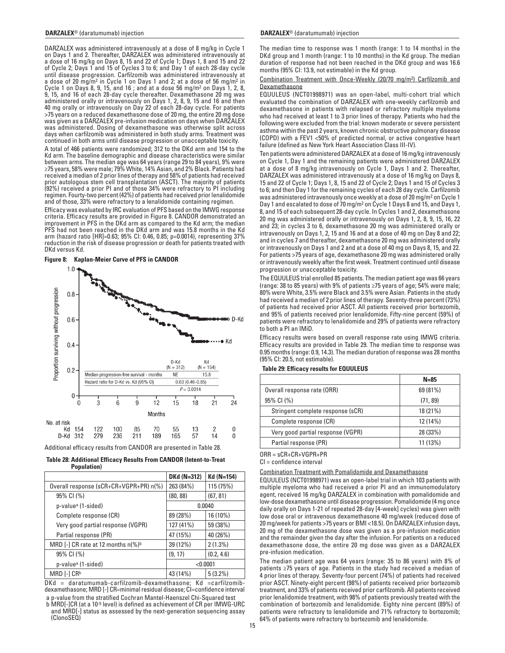DARZALEX was administered intravenously at a dose of 8 mg/kg in Cycle 1 on Days 1 and 2. Thereafter, DARZALEX was administered intravenously at a dose of 16 mg/kg on Days 8, 15 and 22 of Cycle 1; Days 1, 8 and 15 and 22 of Cycle 2; Days 1 and 15 of Cycles 3 to 6; and Day 1 of each 28-day cycle until disease progression. Carfilzomib was administered intravenously at a dose of 20 mg/m2 in Cycle 1 on Days 1 and 2; at a dose of 56 mg/m2 in Cycle 1 on Days 8, 9, 15, and 16 ; and at a dose 56 mg/m2 on Days 1, 2, 8, 9, 15, and 16 of each 28-day cycle thereafter. Dexamethasone 20 mg was administered orally or intravenously on Days 1, 2, 8, 9, 15 and 16 and then 40 mg orally or intravenously on Day 22 of each 28-day cycle. For patients >75 years on a reduced dexamethasone dose of 20 mg, the entire 20 mg dose was given as a DARZALEX pre-infusion medication on days when DARZALEX was administered. Dosing of dexamethasone was otherwise split across days when carfilzomib was administered in both study arms. Treatment was continued in both arms until disease progression or unacceptable toxicity.

A total of 466 patients were randomized; 312 to the DKd arm and 154 to the Kd arm. The baseline demographic and disease characteristics were similar between arms. The median age was 64 years (range 29 to 84 years), 9% were ≥75 years, 58% were male; 79% White, 14% Asian, and 2% Black. Patients had received a median of 2 prior lines of therapy and 58% of patients had received prior autologous stem cell transplantation (ASCT). The majority of patients (92%) received a prior PI and of those 34% were refractory to PI including regimen. Fourty-two percent (42%) of patients had received prior lenalidomide and of those, 33% were refractory to a lenalidomide containing regimen.

Efficacy was evaluated by IRC evaluation of PFS based on the IMWG response criteria. Efficacy results are provided in Figure 8. CANDOR demonstrated an improvement in PFS in the DKd arm as compared to the Kd arm; the median PFS had not been reached in the DKd arm and was 15.8 months in the Kd arm (hazard ratio [HR]=0.63; 95% CI: 0.46, 0.85; p=0.0014), representing 37% reduction in the risk of disease progression or death for patients treated with DKd versus Kd.

**Figure 8: Kaplan-Meier Curve of PFS in CANDOR**



Additional efficacy results from CANDOR are presented in Table 28.

| <b>Table 28: Additional Efficacy Results From CANDOR (Intent-to-Treat</b> |  |  |
|---------------------------------------------------------------------------|--|--|
| Population)                                                               |  |  |

|                                                          | <b>DKd (N=312)</b> | Kd (N=154) |
|----------------------------------------------------------|--------------------|------------|
| Overall response (sCR+CR+VGPR+PR) n(%)                   | 263 (84%)          | 115 (75%)  |
| 95% CI (%)                                               | (80, 88)           | (67, 81)   |
| p-value <sup>a</sup> (1-sided)                           | 0.0040             |            |
| Complete response (CR)                                   | 89 (28%)           | 16 (10%)   |
| Very good partial response (VGPR)                        | 127 (41%)          | 59 (38%)   |
| Partial response (PR)                                    | 47 (15%)           | 40 (26%)   |
| MRD [-] CR rate at 12 months $n\frac{9}{6}$ <sup>b</sup> | 39 (12%)           | $2(1.3\%)$ |
| 95% CI (%)                                               | (9, 17)            | (0.2, 4.6) |
| p-value <sup>a</sup> (1-sided)                           | < 0.0001           |            |
| MRD [-] CRb                                              | 43 (14%)           | $5(3.2\%)$ |

DKd = daratumumab-carfilzomib-dexamethasone; Kd =carfilzomibdexamethasone; MRD [-] CR=minimal residual disease; CI=confidence interval

p-value from the stratified Cochran Mantel-Haenszel Chi-Squared test b MRD[-]CR (at a 10-5 level) is defined as achievement of CR per IMWG-URC and MRD[-] status as assessed by the next-generation sequencing assay (ClonoSEQ)

#### **DARZALEX**® (daratumumab) injection **DARZALEX**® (daratumumab) injection

The median time to response was 1 month (range: 1 to 14 months) in the DKd group and 1 month (range: 1 to 10 months) in the Kd group. The median duration of response had not been reached in the DKd group and was 16.6 months (95% CI: 13.9, not estimable) in the Kd group.

Combination Treatment with Once-Weekly (20/70 mg/m2) Carfilzomib and Dexamethasone

EQUULEUS (NCT01998971) was an open-label, multi-cohort trial which evaluated the combination of DARZALEX with one-weekly carfilzomib and dexamethasone in patients with relapsed or refractory multiple myeloma who had received at least 1 to 3 prior lines of therapy. Patients who had the following were excluded from the trial: known moderate or severe persistent asthma within the past 2 years, known chronic obstructive pulmonary disease (COPD) with a FEV1 <50% of predicted normal, or active congestive heart failure (defined as New York Heart Association Class III-IV).

Ten patients were administered DARZALEX at a dose of 16 mg/kg intravenously on Cycle 1, Day 1 and the remaining patients were administered DARZALEX at a dose of 8 mg/kg intravenously on Cycle 1, Days 1 and 2. Thereafter, DARZALEX was administered intravenously at a dose of 16 mg/kg on Days 8, 15 and 22 of Cycle 1; Days 1, 8, 15 and 22 of Cycle 2; Days 1 and 15 of Cycles 3 to 6; and then Day 1 for the remaining cycles of each 28 day cycle. Carfilzomib was administered intravenously once weekly at a dose of 20 mg/m2 on Cycle 1 Day 1 and escalated to dose of 70 mg/m2 on Cycle 1 Days 8 and 15, and Days 1, 8, and 15 of each subsequent 28-day cycle. In Cycles 1 and 2, dexamethasone 20 mg was administered orally or intravenously on Days 1, 2, 8, 9, 15, 16, 22 and 23; in cycles 3 to 6, dexamethasone 20 mg was administered orally or intravenously on Days 1, 2, 15 and 16 and at a dose of 40 mg on Day 8 and 22; and in cycles 7 and thereafter, dexamethasone 20 mg was administered orally or intravenously on Days 1 and 2 and at a dose of 40 mg on Days 8, 15, and 22. For patients >75 years of age, dexamethasone 20 mg was administered orally or intravenously weekly after the first week. Treatment continued until disease progression or unacceptable toxicity.

The EQUULEUS trial enrolled 85 patients. The median patient age was 66 years (range: 38 to 85 years) with 9% of patients ≥75 years of age; 54% were male; 80% were White, 3.5% were Black and 3.5% were Asian. Patients in the study had received a median of 2 prior lines of therapy. Seventy-three percent (73%) of patients had received prior ASCT. All patients received prior bortezomib, and 95% of patients received prior lenalidomide. Fifty-nine percent (59%) of patients were refractory to lenalidomide and 29% of patients were refractory to both a PI an IMiD.

Efficacy results were based on overall response rate using IMWG criteria. Efficacy results are provided in Table 29. The median time to response was 0.95 months (range: 0.9, 14.3). The median duration of response was 28 months (95% CI: 20.5, not estimable).

# **N=85** Overall response rate (ORR) 69 (81%) 95% CI (%) (71, 89) Stringent complete response (sCR) 18 (21%) Complete response (CR) 12 (14%) Very good partial response (VGPR) 28 (33%) Partial response (PR) 11 (13%)

## **Table 29: Efficacy results for EQUULEUS**

ORR = sCR+CR+VGPR+PR

 $Cl =$  confidence interval

## Combination Treatment with Pomalidomide and Dexamethasone

EQUULEUS (NCT01998971) was an open-label trial in which 103 patients with multiple myeloma who had received a prior PI and an immunomodulatory agent, received 16 mg/kg DARZALEX in combination with pomalidomide and low-dose dexamethasone until disease progression. Pomalidomide (4 mg once daily orally on Days 1-21 of repeated 28-day [4-week] cycles) was given with low dose oral or intravenous dexamethasone 40 mg/week (reduced dose of 20 mg/week for patients >75 years or BMI <18.5). On DARZALEX infusion days, 20 mg of the dexamethasone dose was given as a pre-infusion medication and the remainder given the day after the infusion. For patients on a reduced dexamethasone dose, the entire 20 mg dose was given as a DARZALEX pre-infusion medication.

The median patient age was 64 years (range: 35 to 86 years) with 8% of patients ≥75 years of age. Patients in the study had received a median of 4 prior lines of therapy. Seventy-four percent (74%) of patients had received prior ASCT. Ninety-eight percent (98%) of patients received prior bortezomib treatment, and 33% of patients received prior carfilzomib. All patients received prior lenalidomide treatment, with 98% of patients previously treated with the combination of bortezomib and lenalidomide. Eighty nine percent (89%) of patients were refractory to lenalidomide and 71% refractory to bortezomib; 64% of patients were refractory to bortezomib and lenalidomide.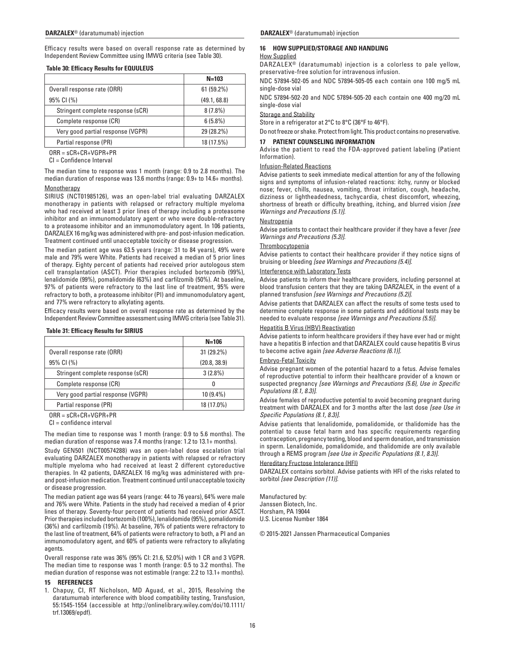Efficacy results were based on overall response rate as determined by Independent Review Committee using IMWG criteria (see Table 30).

## **Table 30: Efficacy Results for EQUULEUS**

|                                   | $N = 103$    |
|-----------------------------------|--------------|
| Overall response rate (ORR)       | 61 (59.2%)   |
| 95% CI (%)                        | (49.1, 68.8) |
| Stringent complete response (sCR) | $8(7.8\%)$   |
| Complete response (CR)            | $6(5.8\%)$   |
| Very good partial response (VGPR) | 29 (28.2%)   |
| Partial response (PR)             | 18 (17.5%)   |

ORR = sCR+CR+VGPR+PR

CI = Confidence Interval

The median time to response was 1 month (range: 0.9 to 2.8 months). The median duration of response was 13.6 months (range: 0.9+ to 14.6+ months).

## **Monotherapy**

SIRIUS (NCT01985126), was an open-label trial evaluating DARZALEX monotherapy in patients with relapsed or refractory multiple myeloma who had received at least 3 prior lines of therapy including a proteasome inhibitor and an immunomodulatory agent or who were double-refractory to a proteasome inhibitor and an immunomodulatory agent. In 106 patients, DARZALEX 16 mg/kg was administered with pre- and post-infusion medication. Treatment continued until unacceptable toxicity or disease progression.

The median patient age was 63.5 years (range: 31 to 84 years), 49% were male and 79% were White. Patients had received a median of 5 prior lines of therapy. Eighty percent of patients had received prior autologous stem cell transplantation (ASCT). Prior therapies included bortezomib (99%), lenalidomide (99%), pomalidomide (63%) and carfilzomib (50%). At baseline, 97% of patients were refractory to the last line of treatment, 95% were refractory to both, a proteasome inhibitor (PI) and immunomodulatory agent, and 77% were refractory to alkylating agents.

Efficacy results were based on overall response rate as determined by the Independent Review Committee assessment using IMWG criteria (see Table 31).

## **Table 31: Efficacy Results for SIRIUS**

|                                   | $N = 106$    |
|-----------------------------------|--------------|
| Overall response rate (ORR)       | 31 (29.2%)   |
| 95% CI (%)                        | (20.8, 38.9) |
| Stringent complete response (sCR) | $3(2.8\%)$   |
| Complete response (CR)            |              |
| Very good partial response (VGPR) | $10(9.4\%)$  |
| Partial response (PR)             | 18 (17.0%)   |

ORR = sCR+CR+VGPR+PR

CI = confidence interval

The median time to response was 1 month (range: 0.9 to 5.6 months). The median duration of response was 7.4 months (range: 1.2 to 13.1+ months).

Study GEN501 (NCT00574288) was an open-label dose escalation trial evaluating DARZALEX monotherapy in patients with relapsed or refractory multiple myeloma who had received at least 2 different cytoreductive therapies. In 42 patients, DARZALEX 16 mg/kg was administered with preand post-infusion medication. Treatment continued until unacceptable toxicity or disease progression.

The median patient age was 64 years (range: 44 to 76 years), 64% were male and 76% were White. Patients in the study had received a median of 4 prior lines of therapy. Seventy-four percent of patients had received prior ASCT. Prior therapies included bortezomib (100%), lenalidomide (95%), pomalidomide (36%) and carfilzomib (19%). At baseline, 76% of patients were refractory to the last line of treatment, 64% of patients were refractory to both, a PI and an immunomodulatory agent, and 60% of patients were refractory to alkylating agents.

Overall response rate was 36% (95% CI: 21.6, 52.0%) with 1 CR and 3 VGPR. The median time to response was 1 month (range: 0.5 to 3.2 months). The median duration of response was not estimable (range: 2.2 to 13.1+ months).

## **15 REFERENCES**

1. Chapuy, CI, RT Nicholson, MD Aguad, et al., 2015, Resolving the daratumumab interference with blood compatibility testing, Transfusion, 55:1545-1554 (accessible at http://onlinelibrary.wiley.com/doi/10.1111/ trf.13069/epdf).

## **DARZALEX**® (daratumumab) injection **DARZALEX**® (daratumumab) injection

## **16 HOW SUPPLIED/STORAGE AND HANDLING**

## How Supplied

DARZALEX® (daratumumab) injection is a colorless to pale yellow, preservative-free solution for intravenous infusion.

NDC 57894-502-05 and NDC 57894-505-05 each contain one 100 mg/5 mL single-dose vial

NDC 57894-502-20 and NDC 57894-505-20 each contain one 400 mg/20 mL single-dose vial

### Storage and Stability

Store in a refrigerator at 2°C to 8°C (36°F to 46°F).

Do not freeze or shake. Protect from light. This product contains no preservative.

## **17 PATIENT COUNSELING INFORMATION**

Advise the patient to read the FDA-approved patient labeling (Patient Information).

## Infusion-Related Reactions

Advise patients to seek immediate medical attention for any of the following signs and symptoms of infusion-related reactions: itchy, runny or blocked nose; fever, chills, nausea, vomiting, throat irritation, cough, headache, dizziness or lightheadedness, tachycardia, chest discomfort, wheezing, shortness of breath or difficulty breathing, itching, and blurred vision *[see Warnings and Precautions (5.1)]*.

### Neutropenia

Advise patients to contact their healthcare provider if they have a fever *[see Warnings and Precautions (5.3)]*.

## **Thrombocytopenia**

Advise patients to contact their healthcare provider if they notice signs of bruising or bleeding *[see Warnings and Precautions (5.4)]*.

## Interference with Laboratory Tests

Advise patients to inform their healthcare providers, including personnel at blood transfusion centers that they are taking DARZALEX, in the event of a planned transfusion *[see Warnings and Precautions (5.2)]*.

Advise patients that DARZALEX can affect the results of some tests used to determine complete response in some patients and additional tests may be needed to evaluate response *[see Warnings and Precautions (5.5)]*.

## Hepatitis B Virus (HBV) Reactivation

Advise patients to inform healthcare providers if they have ever had or might have a hepatitis B infection and that DARZALEX could cause hepatitis B virus to become active again *[see Adverse Reactions (6.1)].*

#### Embryo-Fetal Toxicity

Advise pregnant women of the potential hazard to a fetus. Advise females of reproductive potential to inform their healthcare provider of a known or suspected pregnancy *[see Warnings and Precautions (5.6), Use in Specific Populations (8.1, 8.3)]*.

Advise females of reproductive potential to avoid becoming pregnant during treatment with DARZALEX and for 3 months after the last dose *[see Use in Specific Populations (8.1, 8.3)]*.

Advise patients that lenalidomide, pomalidomide, or thalidomide has the potential to cause fetal harm and has specific requirements regarding contraception, pregnancy testing, blood and sperm donation, and transmission in sperm. Lenalidomide, pomalidomide, and thalidomide are only available through a REMS program *[see Use in Specific Populations (8.1, 8.3)]*.

## Hereditary Fructose Intolerance (HFI)

DARZALEX contains sorbitol. Advise patients with HFI of the risks related to sorbitol *[see Description (11)]*.

Manufactured by: Janssen Biotech, Inc. Horsham, PA 19044 U.S. License Number 1864

© 2015-2021 Janssen Pharmaceutical Companies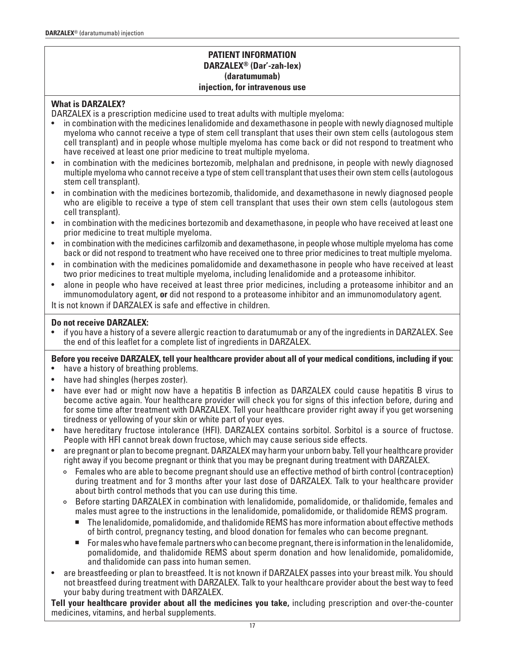# **PATIENT INFORMATION DARZALEX® (Dar'-zah-lex) (daratumumab) injection, for intravenous use**

# **What is DARZALEX?**

DARZALEX is a prescription medicine used to treat adults with multiple myeloma:

- in combination with the medicines lenalidomide and dexamethasone in people with newly diagnosed multiple myeloma who cannot receive a type of stem cell transplant that uses their own stem cells (autologous stem cell transplant) and in people whose multiple myeloma has come back or did not respond to treatment who have received at least one prior medicine to treat multiple myeloma.
- in combination with the medicines bortezomib, melphalan and prednisone, in people with newly diagnosed multiple myeloma who cannot receive a type of stem cell transplant that uses their own stem cells (autologous stem cell transplant).
- in combination with the medicines bortezomib, thalidomide, and dexamethasone in newly diagnosed people who are eligible to receive a type of stem cell transplant that uses their own stem cells (autologous stem cell transplant).
- in combination with the medicines bortezomib and dexamethasone, in people who have received at least one prior medicine to treat multiple myeloma.
- in combination with the medicines carfilzomib and dexamethasone, in people whose multiple myeloma has come back or did not respond to treatment who have received one to three prior medicines to treat multiple myeloma.
- in combination with the medicines pomalidomide and dexamethasone in people who have received at least two prior medicines to treat multiple myeloma, including lenalidomide and a proteasome inhibitor.
- alone in people who have received at least three prior medicines, including a proteasome inhibitor and an immunomodulatory agent, **or** did not respond to a proteasome inhibitor and an immunomodulatory agent.

It is not known if DARZALEX is safe and effective in children.

# **Do not receive DARZALEX:**

• if you have a history of a severe allergic reaction to daratumumab or any of the ingredients in DARZALEX. See the end of this leaflet for a complete list of ingredients in DARZALEX.

**Before you receive DARZALEX, tell your healthcare provider about all of your medical conditions, including if you:**

- have a history of breathing problems.
- have had shingles (herpes zoster).
- have ever had or might now have a hepatitis B infection as DARZALEX could cause hepatitis B virus to become active again. Your healthcare provider will check you for signs of this infection before, during and for some time after treatment with DARZALEX. Tell your healthcare provider right away if you get worsening tiredness or yellowing of your skin or white part of your eyes.
- have hereditary fructose intolerance (HFI). DARZALEX contains sorbitol. Sorbitol is a source of fructose. People with HFI cannot break down fructose, which may cause serious side effects.
- are pregnant or plan to become pregnant. DARZALEX may harm your unborn baby. Tell your healthcare provider right away if you become pregnant or think that you may be pregnant during treatment with DARZALEX.
	- ° Females who are able to become pregnant should use an effective method of birth control (contraception) during treatment and for 3 months after your last dose of DARZALEX. Talk to your healthcare provider about birth control methods that you can use during this time.
	- ° Before starting DARZALEX in combination with lenalidomide, pomalidomide, or thalidomide, females and males must agree to the instructions in the lenalidomide, pomalidomide, or thalidomide REMS program.
		- <sup>n</sup> The lenalidomide, pomalidomide, and thalidomide REMS has more information about effective methods of birth control, pregnancy testing, and blood donation for females who can become pregnant.
		- For males who have female partners who can become pregnant, there is information in the lenalidomide, pomalidomide, and thalidomide REMS about sperm donation and how lenalidomide, pomalidomide, and thalidomide can pass into human semen.
- are breastfeeding or plan to breastfeed. It is not known if DARZALEX passes into your breast milk. You should not breastfeed during treatment with DARZALEX. Talk to your healthcare provider about the best way to feed your baby during treatment with DARZALEX.

**Tell your healthcare provider about all the medicines you take,** including prescription and over-the-counter medicines, vitamins, and herbal supplements.